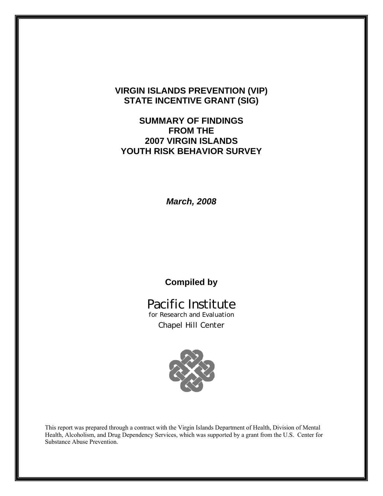# **VIRGIN ISLANDS PREVENTION (VIP) STATE INCENTIVE GRANT (SIG)**

# **SUMMARY OF FINDINGS FROM THE 2007 VIRGIN ISLANDS YOUTH RISK BEHAVIOR SURVEY**

*March, 2008*

# **Compiled by**

# Pacific Institute

for Research and Evaluation Chapel Hill Center



This report was prepared through a contract with the Virgin Islands Department of Health, Division of Mental Health, Alcoholism, and Drug Dependency Services, which was supported by a grant from the U.S. Center for Substance Abuse Prevention.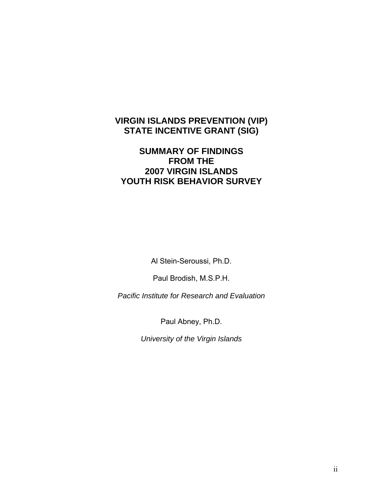# **VIRGIN ISLANDS PREVENTION (VIP) STATE INCENTIVE GRANT (SIG)**

# **SUMMARY OF FINDINGS FROM THE 2007 VIRGIN ISLANDS YOUTH RISK BEHAVIOR SURVEY**

Al Stein-Seroussi, Ph.D.

Paul Brodish, M.S.P.H.

*Pacific Institute for Research and Evaluation* 

Paul Abney, Ph.D.

*University of the Virgin Islands*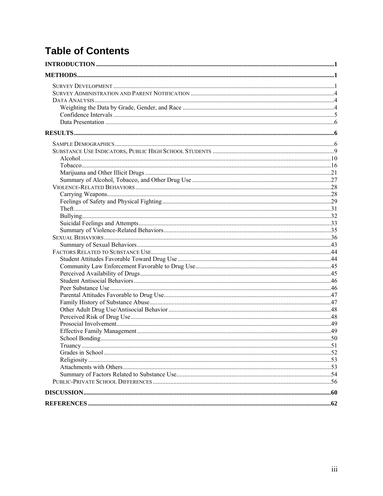# **Table of Contents**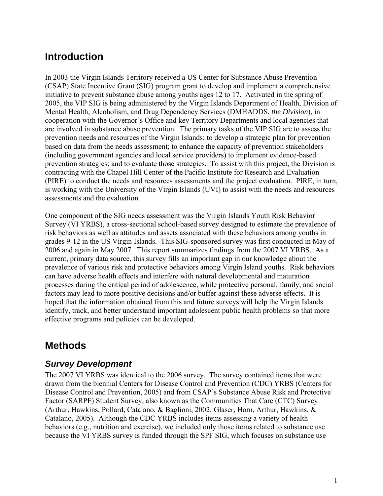# <span id="page-3-0"></span>**Introduction**

In 2003 the Virgin Islands Territory received a US Center for Substance Abuse Prevention (CSAP) State Incentive Grant (SIG) program grant to develop and implement a comprehensive initiative to prevent substance abuse among youths ages 12 to 17. Activated in the spring of 2005, the VIP SIG is being administered by the Virgin Islands Department of Health, Division of Mental Health, Alcoholism, and Drug Dependency Services (DMHADDS, *the Division*), in cooperation with the Governor's Office and key Territory Departments and local agencies that are involved in substance abuse prevention. The primary tasks of the VIP SIG are to assess the prevention needs and resources of the Virgin Islands; to develop a strategic plan for prevention based on data from the needs assessment; to enhance the capacity of prevention stakeholders (including government agencies and local service providers) to implement evidence-based prevention strategies; and to evaluate those strategies. To assist with this project, the Division is contracting with the Chapel Hill Center of the Pacific Institute for Research and Evaluation (PIRE) to conduct the needs and resources assessments and the project evaluation. PIRE, in turn, is working with the University of the Virgin Islands (UVI) to assist with the needs and resources assessments and the evaluation.

One component of the SIG needs assessment was the Virgin Islands Youth Risk Behavior Survey (VI YRBS), a cross-sectional school-based survey designed to estimate the prevalence of risk behaviors as well as attitudes and assets associated with these behaviors among youths in grades 9-12 in the US Virgin Islands. This SIG-sponsored survey was first conducted in May of 2006 and again in May 2007. This report summarizes findings from the 2007 VI YRBS. As a current, primary data source, this survey fills an important gap in our knowledge about the prevalence of various risk and protective behaviors among Virgin Island youths. Risk behaviors can have adverse health effects and interfere with natural developmental and maturation processes during the critical period of adolescence, while protective personal, family, and social factors may lead to more positive decisions and/or buffer against these adverse effects. It is hoped that the information obtained from this and future surveys will help the Virgin Islands identify, track, and better understand important adolescent public health problems so that more effective programs and policies can be developed.

# **Methods**

# *Survey Development*

The 2007 VI YRBS was identical to the 2006 survey. The survey contained items that were drawn from the biennial Centers for Disease Control and Prevention (CDC) YRBS (Centers for Disease Control and Prevention, 2005) and from CSAP's Substance Abuse Risk and Protective Factor (SARPF) Student Survey, also known as the Communities That Care (CTC) Survey (Arthur, Hawkins, Pollard, Catalano, & Baglioni, 2002; Glaser, Horn, Arthur, Hawkins, & Catalano, 2005). Although the CDC YRBS includes items assessing a variety of health behaviors (e.g., nutrition and exercise), we included only those items related to substance use because the VI YRBS survey is funded through the SPF SIG, which focuses on substance use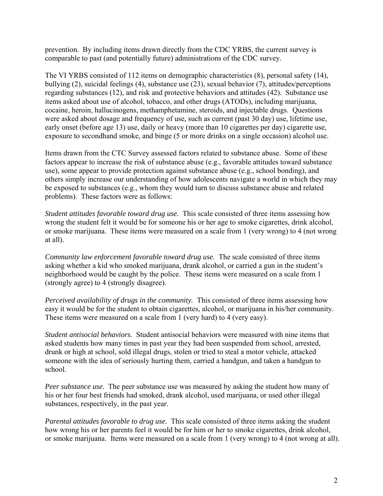prevention. By including items drawn directly from the CDC YRBS, the current survey is comparable to past (and potentially future) administrations of the CDC survey.

The VI YRBS consisted of 112 items on demographic characteristics (8), personal safety (14), bullying (2), suicidal feelings (4), substance use (23), sexual behavior (7), attitudes/perceptions regarding substances (12), and risk and protective behaviors and attitudes (42). Substance use items asked about use of alcohol, tobacco, and other drugs (ATODs), including marijuana, cocaine, heroin, hallucinogens, methamphetamine, steroids, and injectable drugs. Questions were asked about dosage and frequency of use, such as current (past 30 day) use, lifetime use, early onset (before age 13) use, daily or heavy (more than 10 cigarettes per day) cigarette use, exposure to secondhand smoke, and binge (5 or more drinks on a single occasion) alcohol use.

Items drawn from the CTC Survey assessed factors related to substance abuse. Some of these factors appear to increase the risk of substance abuse (e.g., favorable attitudes toward substance use), some appear to provide protection against substance abuse (e.g., school bonding), and others simply increase our understanding of how adolescents navigate a world in which they may be exposed to substances (e.g., whom they would turn to discuss substance abuse and related problems). These factors were as follows:

*Student attitudes favorable toward drug use.* This scale consisted of three items assessing how wrong the student felt it would be for someone his or her age to smoke cigarettes, drink alcohol, or smoke marijuana. These items were measured on a scale from 1 (very wrong) to 4 (not wrong at all).

*Community law enforcement favorable toward drug use.* The scale consisted of three items asking whether a kid who smoked marijuana, drank alcohol, or carried a gun in the student's neighborhood would be caught by the police. These items were measured on a scale from 1 (strongly agree) to 4 (strongly disagree).

*Perceived availability of drugs in the community.* This consisted of three items assessing how easy it would be for the student to obtain cigarettes, alcohol, or marijuana in his/her community. These items were measured on a scale from 1 (very hard) to 4 (very easy).

*Student antisocial behaviors.* Student antisocial behaviors were measured with nine items that asked students how many times in past year they had been suspended from school, arrested, drunk or high at school, sold illegal drugs, stolen or tried to steal a motor vehicle, attacked someone with the idea of seriously hurting them, carried a handgun, and taken a handgun to school.

*Peer substance use.* The peer substance use was measured by asking the student how many of his or her four best friends had smoked, drank alcohol, used marijuana, or used other illegal substances, respectively, in the past year.

*Parental attitudes favorable to drug use.* This scale consisted of three items asking the student how wrong his or her parents feel it would be for him or her to smoke cigarettes, drink alcohol, or smoke marijuana. Items were measured on a scale from 1 (very wrong) to 4 (not wrong at all).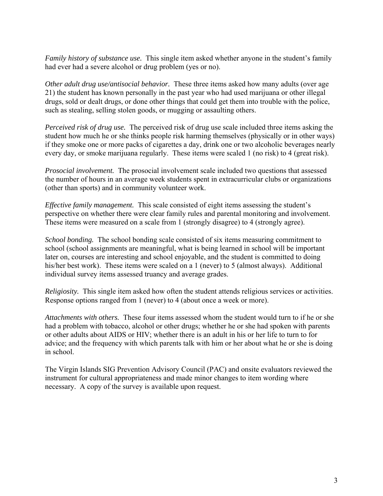*Family history of substance use.* This single item asked whether anyone in the student's family had ever had a severe alcohol or drug problem (yes or no).

*Other adult drug use/antisocial behavior.* These three items asked how many adults (over age 21) the student has known personally in the past year who had used marijuana or other illegal drugs, sold or dealt drugs, or done other things that could get them into trouble with the police, such as stealing, selling stolen goods, or mugging or assaulting others.

*Perceived risk of drug use.* The perceived risk of drug use scale included three items asking the student how much he or she thinks people risk harming themselves (physically or in other ways) if they smoke one or more packs of cigarettes a day, drink one or two alcoholic beverages nearly every day, or smoke marijuana regularly. These items were scaled 1 (no risk) to 4 (great risk).

*Prosocial involvement.* The prosocial involvement scale included two questions that assessed the number of hours in an average week students spent in extracurricular clubs or organizations (other than sports) and in community volunteer work.

*Effective family management.* This scale consisted of eight items assessing the student's perspective on whether there were clear family rules and parental monitoring and involvement. These items were measured on a scale from 1 (strongly disagree) to 4 (strongly agree).

*School bonding.* The school bonding scale consisted of six items measuring commitment to school (school assignments are meaningful, what is being learned in school will be important later on, courses are interesting and school enjoyable, and the student is committed to doing his/her best work). These items were scaled on a 1 (never) to 5 (almost always). Additional individual survey items assessed truancy and average grades.

*Religiosity.* This single item asked how often the student attends religious services or activities. Response options ranged from 1 (never) to 4 (about once a week or more).

*Attachments with others.* These four items assessed whom the student would turn to if he or she had a problem with tobacco, alcohol or other drugs; whether he or she had spoken with parents or other adults about AIDS or HIV; whether there is an adult in his or her life to turn to for advice; and the frequency with which parents talk with him or her about what he or she is doing in school.

The Virgin Islands SIG Prevention Advisory Council (PAC) and onsite evaluators reviewed the instrument for cultural appropriateness and made minor changes to item wording where necessary. A copy of the survey is available upon request.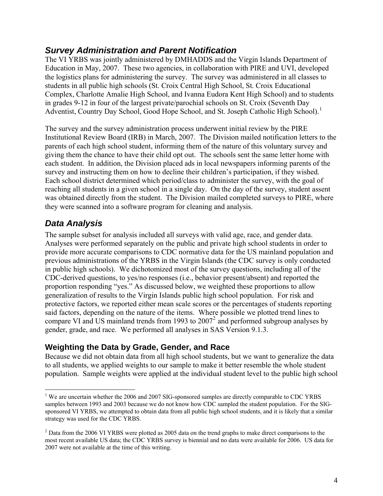# <span id="page-6-0"></span>*Survey Administration and Parent Notification*

The VI YRBS was jointly administered by DMHADDS and the Virgin Islands Department of Education in May, 2007. These two agencies, in collaboration with PIRE and UVI, developed the logistics plans for administering the survey. The survey was administered in all classes to students in all public high schools (St. Croix Central High School, St. Croix Educational Complex, Charlotte Amalie High School, and Ivanna Eudora Kent High School) and to students in grades 9-12 in four of the largest private/parochial schools on St. Croix (Seventh Day Adventist, Country Day School, Good Hope School, and St. Joseph Catholic High School).<sup>[1](#page-6-1)</sup>

The survey and the survey administration process underwent initial review by the PIRE Institutional Review Board (IRB) in March, 2007. The Division mailed notification letters to the parents of each high school student, informing them of the nature of this voluntary survey and giving them the chance to have their child opt out. The schools sent the same letter home with each student. In addition, the Division placed ads in local newspapers informing parents of the survey and instructing them on how to decline their children's participation, if they wished. Each school district determined which period/class to administer the survey, with the goal of reaching all students in a given school in a single day. On the day of the survey, student assent was obtained directly from the student. The Division mailed completed surveys to PIRE, where they were scanned into a software program for cleaning and analysis.

# *Data Analysis*

 $\overline{a}$ 

The sample subset for analysis included all surveys with valid age, race, and gender data. Analyses were performed separately on the public and private high school students in order to provide more accurate comparisons to CDC normative data for the US mainland population and previous administrations of the YRBS in the Virgin Islands (the CDC survey is only conducted in public high schools). We dichotomized most of the survey questions, including all of the CDC-derived questions, to yes/no responses (i.e., behavior present/absent) and reported the proportion responding "yes." As discussed below, we weighted these proportions to allow generalization of results to the Virgin Islands public high school population. For risk and protective factors, we reported either mean scale scores or the percentages of students reporting said factors, depending on the nature of the items. Where possible we plotted trend lines to compare VI and US mainland trends from 1993 to  $2007<sup>2</sup>$  $2007<sup>2</sup>$  and performed subgroup analyses by gender, grade, and race. We performed all analyses in SAS Version 9.1.3.

## **Weighting the Data by Grade, Gender, and Race**

Because we did not obtain data from all high school students, but we want to generalize the data to all students, we applied weights to our sample to make it better resemble the whole student population. Sample weights were applied at the individual student level to the public high school

<span id="page-6-1"></span><sup>&</sup>lt;sup>1</sup> We are uncertain whether the 2006 and 2007 SIG-sponsored samples are directly comparable to CDC YRBS samples between 1993 and 2003 because we do not know how CDC sampled the student population. For the SIGsponsored VI YRBS, we attempted to obtain data from all public high school students, and it is likely that a similar strategy was used for the CDC YRBS.

<span id="page-6-2"></span> $2^{2}$  Data from the 2006 VI YRBS were plotted as 2005 data on the trend graphs to make direct comparisons to the most recent available US data; the CDC YRBS survey is biennial and no data were available for 2006. US data for 2007 were not available at the time of this writing.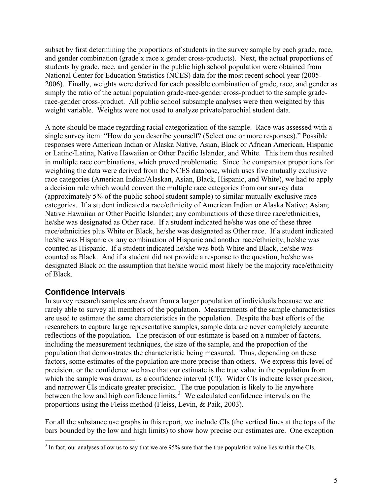<span id="page-7-0"></span>subset by first determining the proportions of students in the survey sample by each grade, race, and gender combination (grade x race x gender cross-products). Next, the actual proportions of students by grade, race, and gender in the public high school population were obtained from National Center for Education Statistics (NCES) data for the most recent school year (2005- 2006). Finally, weights were derived for each possible combination of grade, race, and gender as simply the ratio of the actual population grade-race-gender cross-product to the sample graderace-gender cross-product. All public school subsample analyses were then weighted by this weight variable. Weights were not used to analyze private/parochial student data.

A note should be made regarding racial categorization of the sample. Race was assessed with a single survey item: "How do you describe yourself? (Select one or more responses)." Possible responses were American Indian or Alaska Native, Asian, Black or African American, Hispanic or Latino/Latina, Native Hawaiian or Other Pacific Islander, and White. This item thus resulted in multiple race combinations, which proved problematic. Since the comparator proportions for weighting the data were derived from the NCES database, which uses five mutually exclusive race categories (American Indian/Alaskan, Asian, Black, Hispanic, and White), we had to apply a decision rule which would convert the multiple race categories from our survey data (approximately 5% of the public school student sample) to similar mutually exclusive race categories. If a student indicated a race/ethnicity of American Indian or Alaska Native; Asian; Native Hawaiian or Other Pacific Islander; any combinations of these three race/ethnicities, he/she was designated as Other race. If a student indicated he/she was one of these three race/ethnicities plus White or Black, he/she was designated as Other race. If a student indicated he/she was Hispanic or any combination of Hispanic and another race/ethnicity, he/she was counted as Hispanic. If a student indicated he/she was both White and Black, he/she was counted as Black. And if a student did not provide a response to the question, he/she was designated Black on the assumption that he/she would most likely be the majority race/ethnicity of Black.

## **Confidence Intervals**

In survey research samples are drawn from a larger population of individuals because we are rarely able to survey all members of the population. Measurements of the sample characteristics are used to estimate the same characteristics in the population. Despite the best efforts of the researchers to capture large representative samples, sample data are never completely accurate reflections of the population. The precision of our estimate is based on a number of factors, including the measurement techniques, the size of the sample, and the proportion of the population that demonstrates the characteristic being measured. Thus, depending on these factors, some estimates of the population are more precise than others. We express this level of precision, or the confidence we have that our estimate is the true value in the population from which the sample was drawn, as a confidence interval (CI). Wider CIs indicate lesser precision, and narrower CIs indicate greater precision. The true population is likely to lie anywhere between the low and high confidence limits.<sup>[3](#page-7-1)</sup> We calculated confidence intervals on the proportions using the Fleiss method (Fleiss, Levin, & Paik, 2003).

For all the substance use graphs in this report, we include CIs (the vertical lines at the tops of the bars bounded by the low and high limits) to show how precise our estimates are. One exception

<span id="page-7-1"></span> $\frac{3}{3}$  In fact, our analyses allow us to say that we are 95% sure that the true population value lies within the CIs.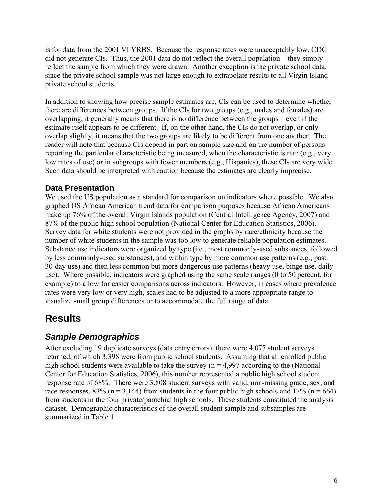<span id="page-8-0"></span>is for data from the 2001 VI YRBS. Because the response rates were unacceptably low, CDC did not generate CIs. Thus, the 2001 data do not reflect the overall population—they simply reflect the sample from which they were drawn. Another exception is the private school data, since the private school sample was not large enough to extrapolate results to all Virgin Island private school students.

In addition to showing how precise sample estimates are, CIs can be used to determine whether there are differences between groups. If the CIs for two groups (e.g., males and females) are overlapping, it generally means that there is no difference between the groups—even if the estimate itself appears to be different. If, on the other hand, the CIs do not overlap, or only overlap slightly, it means that the two groups are likely to be different from one another. The reader will note that because CIs depend in part on sample size and on the number of persons reporting the particular characteristic being measured, when the characteristic is rare (e.g., very low rates of use) or in subgroups with fewer members (e.g., Hispanics), these CIs are very wide. Such data should be interpreted with caution because the estimates are clearly imprecise.

### **Data Presentation**

We used the US population as a standard for comparison on indicators where possible. We also graphed US African American trend data for comparison purposes because African Americans make up 76% of the overall Virgin Islands population (Central Intelligence Agency, 2007) and 87% of the public high school population (National Center for Education Statistics, 2006). Survey data for white students were not provided in the graphs by race/ethnicity because the number of white students in the sample was too low to generate reliable population estimates. Substance use indicators were organized by type (i.e., most commonly-used substances, followed by less commonly-used substances), and within type by more common use patterns (e.g., past 30-day use) and then less common but more dangerous use patterns (heavy use, binge use, daily use). Where possible, indicators were graphed using the same scale ranges (0 to 50 percent, for example) to allow for easier comparisons across indicators. However, in cases where prevalence rates were very low or very high, scales had to be adjusted to a more appropriate range to visualize small group differences or to accommodate the full range of data.

# **Results**

# *Sample Demographics*

After excluding 19 duplicate surveys (data entry errors), there were 4,077 student surveys returned, of which 3,398 were from public school students. Assuming that all enrolled public high school students were available to take the survey ( $n = 4.997$  according to the (National Center for Education Statistics, 2006), this number represented a public high school student response rate of 68%. There were 3,808 student surveys with valid, non-missing grade, sex, and race responses,  $83\%$  (n = 3,144) from students in the four public high schools and  $17\%$  (n = 664) from students in the four private/parochial high schools. These students constituted the analysis dataset. Demographic characteristics of the overall student sample and subsamples are summarized in Table 1.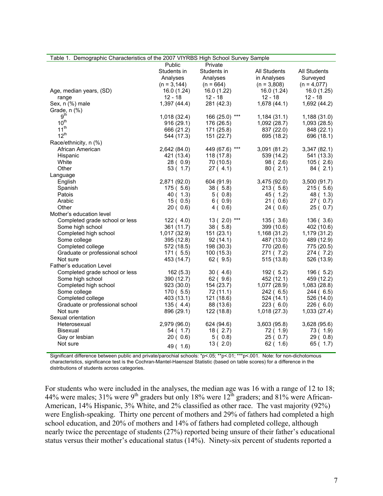| Table 1. Demographic Characteristics of the 2007 VIYRBS High School Survey Sample |                |                  |               |               |
|-----------------------------------------------------------------------------------|----------------|------------------|---------------|---------------|
|                                                                                   | Public         | Private          |               |               |
|                                                                                   | Students in    | Students in      | All Students  | All Students  |
|                                                                                   | Analyses       | Analyses         | in Analyses   | Surveyed      |
|                                                                                   | $(n = 3, 144)$ | $(n = 664)$      | $(n = 3,808)$ | $(n = 4.077)$ |
| Age, median years, (SD)                                                           | 16.0 (1.24)    | 16.0 (1.22)      | 16.0(1.24)    | 16.0 (1.25)   |
| range                                                                             | $12 - 18$      | $12 - 18$        | $12 - 18$     | $12 - 18$     |
| Sex, n (%) male                                                                   | 1,397(44.4)    | 281 (42.3)       | 1,678(44.1)   | 1,692 (44.2)  |
| Grade, n (%)                                                                      |                |                  |               |               |
| 9 <sup>th</sup>                                                                   | 1,018(32.4)    | 166 (25.0) ***   | 1,184(31.1)   | 1,188(31.0)   |
| $10^{th}$                                                                         | 916(29.1)      | 176 (26.5)       | 1,092(28.7)   | 1,093 (28.5)  |
| 11 <sup>th</sup>                                                                  | 666 (21.2)     | 171 (25.8)       | 837 (22.0)    | 848 (22.1)    |
| $12^{th}$                                                                         | 544 (17.3)     | 151 (22.7)       | 695 (18.2)    | 696 (18.1)    |
|                                                                                   |                |                  |               |               |
| Race/ethnicity, n (%)                                                             |                |                  |               |               |
| African American                                                                  | 2,642 (84.0)   | 449 (67.6) ***   | 3,091 (81.2)  | 3,347(82.1)   |
| Hispanic                                                                          | 421 (13.4)     | 118 (17.8)       | 539 (14.2)    | 541 (13.3)    |
| White                                                                             | 28(0.9)        | 70 (10.5)        | 98(2.6)       | 105(2.6)      |
| Other                                                                             | 53(1.7)        | 27(4.1)          | 80(2.1)       | 84(2.1)       |
| Language                                                                          |                |                  |               |               |
| English                                                                           | 2,871 (92.0)   | 604 (91.9)       | 3,475 (92.0)  | 3,500(91.7)   |
| Spanish                                                                           | 175(5.6)       | 38(5.8)          | 213(5.6)      | 215(5.6)      |
| Patois                                                                            | 40(1.3)        | 5(0.8)           | 45 (1.2)      | 48 ( 1.3)     |
| Arabic                                                                            | 15(0.5)        | 6(0.9)           | 21(0.6)       | 27(0.7)       |
| Other                                                                             | 20(0.6)        | 4(0.6)           | 24(0.6)       | 25(0.7)       |
| Mother's education level                                                          |                |                  |               |               |
| Completed grade school or less                                                    | 122(4.0)       | 13 ( $2.0$ ) *** | 135(3.6)      | 136(3.6)      |
| Some high school                                                                  | 361 (11.7)     | 38(5.8)          | 399 (10.6)    | 402 (10.6)    |
| Completed high school                                                             | 1,017 (32.9)   | 151(23.1)        | 1,168 (31.2)  | 1,179 (31.2)  |
| Some college                                                                      | 395 (12.8)     | 92(14.1)         | 487 (13.0)    | 489 (12.9)    |
| Completed college                                                                 | 572 (18.5)     | 198 (30.3)       | 770 (20.6)    | 775 (20.5)    |
| Graduate or professional school                                                   | 171(5.5)       | 100(15.3)        | 271(7.2)      | 274 (7.2)     |
| Not sure                                                                          | 453 (14.7)     | 62(9.5)          | 515(13.8)     | 526 (13.9)    |
| Father's education Level                                                          |                |                  |               |               |
| Completed grade school or less                                                    | 162(5.3)       | 30(4.6)          | 192 ( 5.2)    | 196(5.2)      |
| Some high school                                                                  | 390 (12.7)     | 62(9.6)          | 452 (12.1)    | 459 (12.2)    |
| Completed high school                                                             | 923 (30.0)     | 154 (23.7)       | 1,077 (28.9)  | 1,083 (28.8)  |
| Some college                                                                      | 170(5.5)       | 72(11.1)         | 242(6.5)      | 244 (6.5)     |
| Completed college                                                                 | 403 (13.1)     | 121 (18.6)       | 524(14.1)     | 526 (14.0)    |
| Graduate or professional school                                                   | 135(4.4)       | 88 (13.6)        | 223(6.0)      | 226(6.0)      |
| Not sure                                                                          | 896 (29.1)     | 122 (18.8)       | 1,018(27.3)   | 1,033(27.4)   |
| Sexual orientation                                                                |                |                  |               |               |
| Heterosexual                                                                      | 2,979 (96.0)   | 624 (94.6)       | 3,603(95.8)   | 3,628(95.6)   |
| <b>Bisexual</b>                                                                   | 54(1.7)        | 18(2.7)          | 72 ( 1.9)     | 73 ( 1.9)     |
| Gay or lesbian                                                                    | 20(0.6)        | 5(0.8)           | 25(0.7)       | 29(0.8)       |
| Not sure                                                                          |                | 13(2.0)          | 62(1.6)       | 65(1.7)       |
|                                                                                   | 49 ( 1.6)      |                  |               |               |

Significant difference between public and private/parochial schools: \*p<.05; \*\*p<.01; \*\*\*p<.001. Note: for non-dichotomous characteristics, significance test is the Cochran-Mantel-Haenszel Statistic (based on table scores) for a difference in the distributions of students across categories.

For students who were included in the analyses, the median age was 16 with a range of 12 to 18; 44% were males; 31% were 9<sup>th</sup> graders but only 18% were  $12<sup>th</sup>$  graders; and 81% were African-American, 14% Hispanic, 3% White, and 2% classified as other race. The vast majority (92%) were English-speaking. Thirty one percent of mothers and 29% of fathers had completed a high school education, and 20% of mothers and 14% of fathers had completed college, although nearly twice the percentage of students (27%) reported being unsure of their father's educational status versus their mother's educational status (14%). Ninety-six percent of students reported a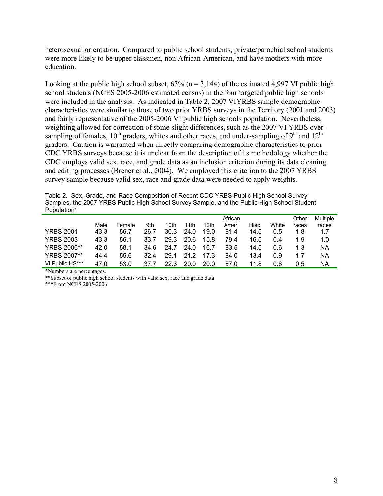heterosexual orientation. Compared to public school students, private/parochial school students were more likely to be upper classmen, non African-American, and have mothers with more education.

Looking at the public high school subset,  $63\%$  (n = 3,144) of the estimated 4,997 VI public high school students (NCES 2005-2006 estimated census) in the four targeted public high schools were included in the analysis. As indicated in Table 2, 2007 VIYRBS sample demographic characteristics were similar to those of two prior YRBS surveys in the Territory (2001 and 2003) and fairly representative of the 2005-2006 VI public high schools population. Nevertheless, weighting allowed for correction of some slight differences, such as the 2007 VI YRBS oversampling of females,  $10^{th}$  graders, whites and other races, and under-sampling of  $9^{th}$  and  $12^{th}$ graders. Caution is warranted when directly comparing demographic characteristics to prior CDC YRBS surveys because it is unclear from the description of its methodology whether the CDC employs valid sex, race, and grade data as an inclusion criterion during its data cleaning and editing processes (Brener et al., 2004). We employed this criterion to the 2007 YRBS survey sample because valid sex, race and grade data were needed to apply weights.

Table 2. Sex, Grade, and Race Composition of Recent CDC YRBS Public High School Survey Samples, the 2007 YRBS Public High School Survey Sample, and the Public High School Student Population\*

|                    |      |        |      |      |      |                  | African |       |       | Other | Multiple |
|--------------------|------|--------|------|------|------|------------------|---------|-------|-------|-------|----------|
|                    | Male | Female | 9th  | 10th | 11th | 12 <sub>th</sub> | Amer.   | Hisp. | White | races | races    |
| <b>YRBS 2001</b>   | 43.3 | 56.7   | 26.7 | 30.3 | 24.0 | 19.0             | 81.4    | 14.5  | 0.5   | 1.8   | 1.7      |
| <b>YRBS 2003</b>   | 43.3 | 56.1   | 33.7 | 29.3 | 20.6 | 15.8             | 79.4    | 16.5  | 0.4   | 1.9   | 1.0      |
| <b>YRBS 2006**</b> | 42.0 | 58.1   | 34.6 | 24.7 | 24.0 | 16.7             | 83.5    | 14.5  | 0.6   | 1.3   | ΝA       |
| <b>YRBS 2007**</b> | 44.4 | 55.6   | 32.4 | 29.1 | 21 2 | 17.3             | 84.0    | 13.4  | 0.9   | 1.7   | NA       |
| VI Public HS***    | 47.0 | 53.0   | 37.7 | 22.3 | 20.0 | 20.0             | 87.0    | 11.8  | 0.6   | 0.5   | NA       |

\*Numbers are percentages.

\*\*Subset of public high school students with valid sex, race and grade data

\*\*\*From NCES 2005-2006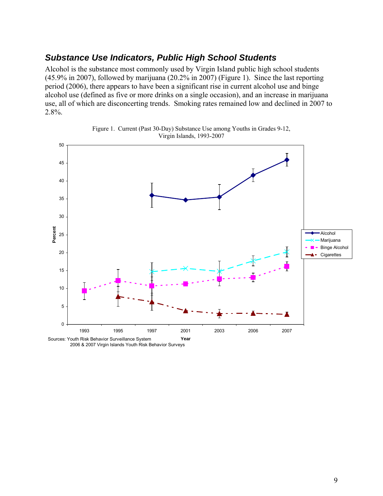## <span id="page-11-0"></span>*Substance Use Indicators, Public High School Students*

Alcohol is the substance most commonly used by Virgin Island public high school students (45.9% in 2007), followed by marijuana (20.2% in 2007) (Figure 1). Since the last reporting period (2006), there appears to have been a significant rise in current alcohol use and binge alcohol use (defined as five or more drinks on a single occasion), and an increase in marijuana use, all of which are disconcerting trends. Smoking rates remained low and declined in 2007 to 2.8%.





2006 & 2007 Virgin Islands Youth Risk Behavior Surveys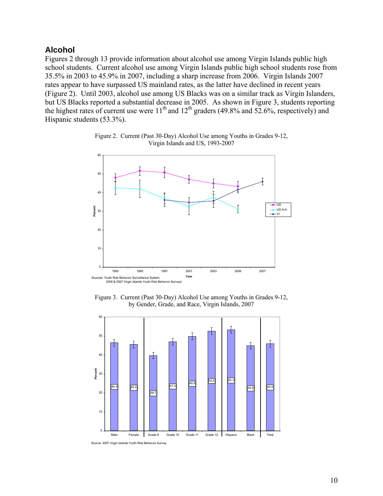#### <span id="page-12-0"></span>**Alcohol**

Figures 2 through 13 provide information about alcohol use among Virgin Islands public high school students. Current alcohol use among Virgin Islands public high school students rose from 35.5% in 2003 to 45.9% in 2007, including a sharp increase from 2006. Virgin Islands 2007 rates appear to have surpassed US mainland rates, as the latter have declined in recent years (Figure 2). Until 2003, alcohol use among US Blacks was on a similar track as Virgin Islanders, but US Blacks reported a substantial decrease in 2005. As shown in Figure 3, students reporting the highest rates of current use were 11<sup>th</sup> and 12<sup>th</sup> graders (49.8% and 52.6%, respectively) and Hispanic students (53.3%).



Figure 2. Current (Past 30-Day) Alcohol Use among Youths in Grades 9-12, Virgin Islands and US, 1993-2007

Figure 3. Current (Past 30-Day) Alcohol Use among Youths in Grades 9-12, by Gender, Grade, and Race, Virgin Islands, 2007



Source: 2007 Virgin Islands Youth Risk Behavior Survey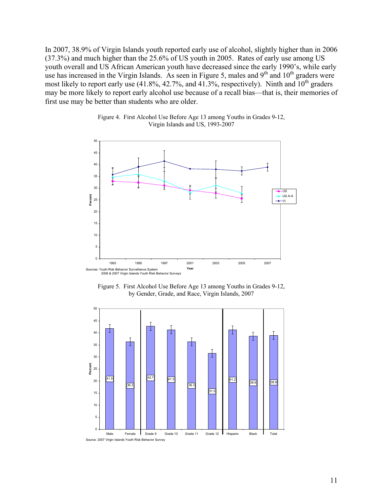In 2007, 38.9% of Virgin Islands youth reported early use of alcohol, slightly higher than in 2006 (37.3%) and much higher than the 25.6% of US youth in 2005. Rates of early use among US youth overall and US African American youth have decreased since the early 1990's, while early use has increased in the Virgin Islands. As seen in Figure 5, males and  $9<sup>th</sup>$  and  $10<sup>th</sup>$  graders were most likely to report early use  $(41.8\%, 42.7\%, \text{ and } 41.3\%, \text{ respectively})$ . Ninth and  $10^{\text{th}}$  graders may be more likely to report early alcohol use because of a recall bias—that is, their memories of first use may be better than students who are older.



Figure 4. First Alcohol Use Before Age 13 among Youths in Grades 9-12, Virgin Islands and US, 1993-2007

Figure 5. First Alcohol Use Before Age 13 among Youths in Grades 9-12, by Gender, Grade, and Race, Virgin Islands, 2007

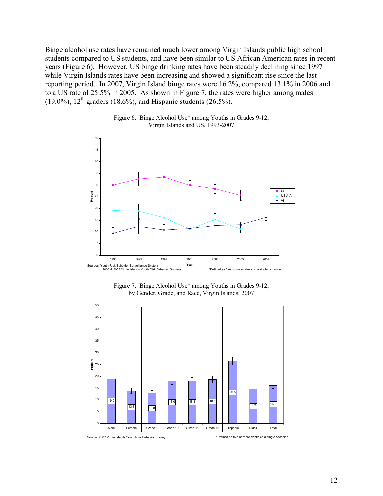Binge alcohol use rates have remained much lower among Virgin Islands public high school students compared to US students, and have been similar to US African American rates in recent years (Figure 6). However, US binge drinking rates have been steadily declining since 1997 while Virgin Islands rates have been increasing and showed a significant rise since the last reporting period. In 2007, Virgin Island binge rates were 16.2%, compared 13.1% in 2006 and to a US rate of 25.5% in 2005. As shown in Figure 7, the rates were higher among males (19.0%),  $12^{th}$  graders (18.6%), and Hispanic students (26.5%).



Figure 6. Binge Alcohol Use\* among Youths in Grades 9-12, Virgin Islands and US, 1993-2007

Figure 7. Binge Alcohol Use\* among Youths in Grades 9-12, by Gender, Grade, and Race, Virgin Islands, 2007

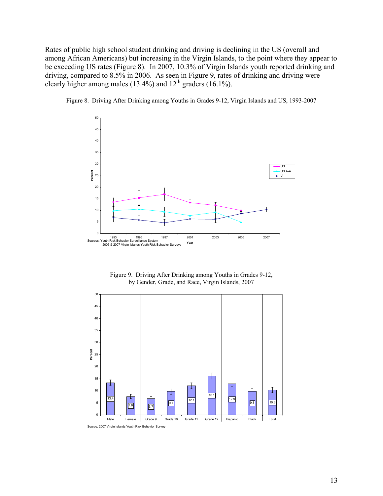Rates of public high school student drinking and driving is declining in the US (overall and among African Americans) but increasing in the Virgin Islands, to the point where they appear to be exceeding US rates (Figure 8). In 2007, 10.3% of Virgin Islands youth reported drinking and driving, compared to 8.5% in 2006. As seen in Figure 9, rates of drinking and driving were clearly higher among males (13.4%) and  $12<sup>th</sup>$  graders (16.1%).



Figure 8. Driving After Drinking among Youths in Grades 9-12, Virgin Islands and US, 1993-2007

Figure 9. Driving After Drinking among Youths in Grades 9-12, by Gender, Grade, and Race, Virgin Islands, 2007

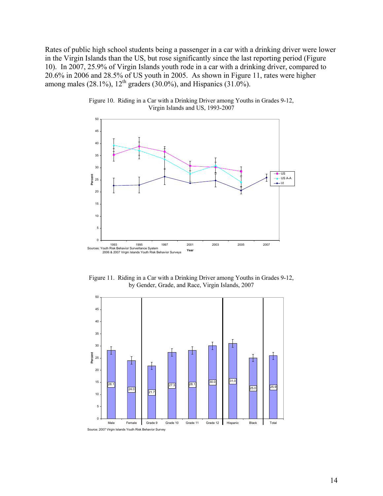Rates of public high school students being a passenger in a car with a drinking driver were lower in the Virgin Islands than the US, but rose significantly since the last reporting period (Figure 10). In 2007, 25.9% of Virgin Islands youth rode in a car with a drinking driver, compared to 20.6% in 2006 and 28.5% of US youth in 2005. As shown in Figure 11, rates were higher among males (28.1%),  $12^{th}$  graders (30.0%), and Hispanics (31.0%).



Figure 10. Riding in a Car with a Drinking Driver among Youths in Grades 9-12, Virgin Islands and US, 1993-2007

Figure 11. Riding in a Car with a Drinking Driver among Youths in Grades 9-12, by Gender, Grade, and Race, Virgin Islands, 2007

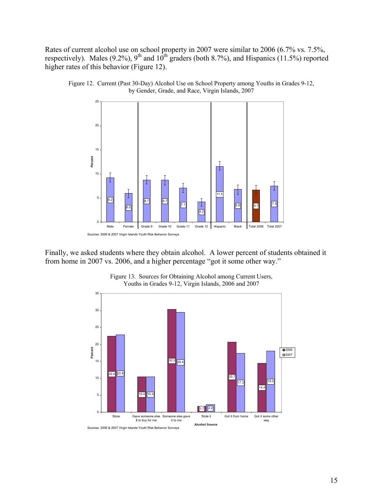Rates of current alcohol use on school property in 2007 were similar to 2006 (6.7% vs. 7.5%, respectively). Males (9.2%), 9<sup>th</sup> and  $10^{th}$  graders (both 8.7%), and Hispanics (11.5%) reported higher rates of this behavior (Figure 12).



Figure 12. Current (Past 30-Day) Alcohol Use on School Property among Youths in Grades 9-12, by Gender, Grade, and Race, Virgin Islands, 2007

Finally, we asked students where they obtain alcohol. A lower percent of students obtained it from home in 2007 vs. 2006, and a higher percentage "got it some other way."



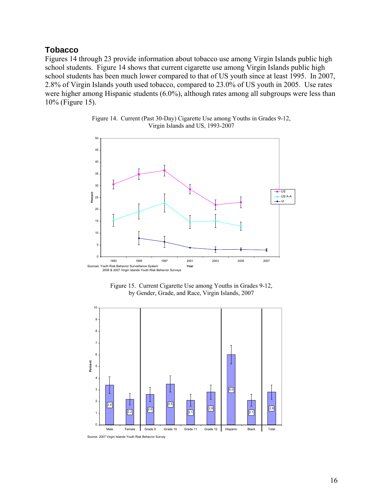#### <span id="page-18-0"></span>**Tobacco**

Figures 14 through 23 provide information about tobacco use among Virgin Islands public high school students. Figure 14 shows that current cigarette use among Virgin Islands public high school students has been much lower compared to that of US youth since at least 1995. In 2007, 2.8% of Virgin Islands youth used tobacco, compared to 23.0% of US youth in 2005. Use rates were higher among Hispanic students (6.0%), although rates among all subgroups were less than 10% (Figure 15).



Figure 14. Current (Past 30-Day) Cigarette Use among Youths in Grades 9-12, Virgin Islands and US, 1993-2007





Source: 2007 Virgin Islands Youth Risk Behavior Survey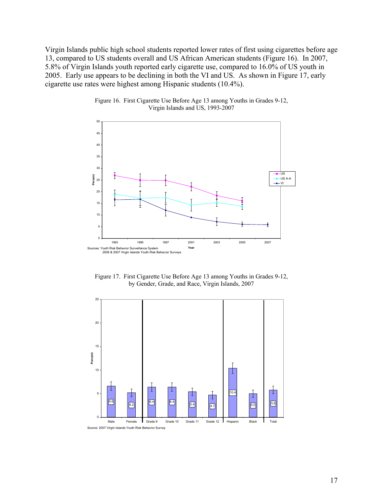Virgin Islands public high school students reported lower rates of first using cigarettes before age 13, compared to US students overall and US African American students (Figure 16). In 2007, 5.8% of Virgin Islands youth reported early cigarette use, compared to 16.0% of US youth in 2005. Early use appears to be declining in both the VI and US. As shown in Figure 17, early cigarette use rates were highest among Hispanic students (10.4%).



Figure 16. First Cigarette Use Before Age 13 among Youths in Grades 9-12, Virgin Islands and US, 1993-2007

Figure 17. First Cigarette Use Before Age 13 among Youths in Grades 9-12, by Gender, Grade, and Race, Virgin Islands, 2007

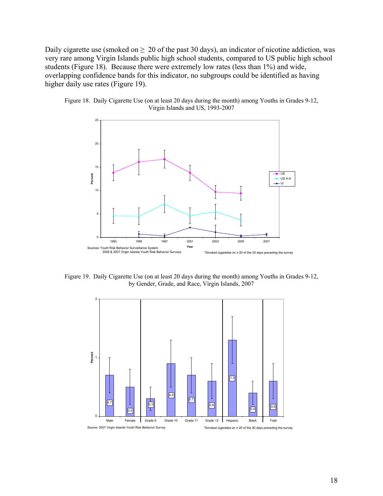Daily cigarette use (smoked on  $\geq 20$  of the past 30 days), an indicator of nicotine addiction, was very rare among Virgin Islands public high school students, compared to US public high school students (Figure 18). Because there were extremely low rates (less than 1%) and wide, overlapping confidence bands for this indicator, no subgroups could be identified as having higher daily use rates (Figure 19).





Figure 19. Daily Cigarette Use (on at least 20 days during the month) among Youths in Grades 9-12, by Gender, Grade, and Race, Virgin Islands, 2007

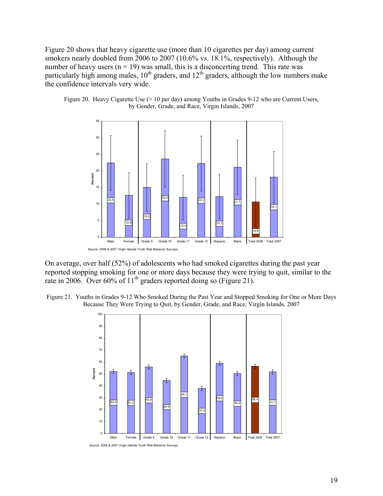Figure 20 shows that heavy cigarette use (more than 10 cigarettes per day) among current smokers nearly doubled from 2006 to 2007 (10.6% vs. 18.1%, respectively). Although the number of heavy users  $(n = 19)$  was small, this is a disconcerting trend. This rate was particularly high among males,  $10^{th}$  graders, and  $12^{th}$  graders, although the low numbers make the confidence intervals very wide.





On average, over half (52%) of adolescents who had smoked cigarettes during the past year reported stopping smoking for one or more days because they were trying to quit, similar to the rate in 2006. Over 60% of 11<sup>th</sup> graders reported doing so (Figure 21).

Figure 21. Youths in Grades 9-12 Who Smoked During the Past Year and Stopped Smoking for One or More Days Because They Were Trying to Quit, by Gender, Grade, and Race, Virgin Islands, 2007



Source: 2006 & 2007 Virgin Islands Youth Risk Behavior Surveys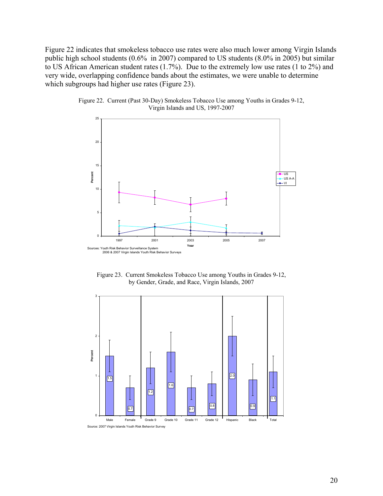Figure 22 indicates that smokeless tobacco use rates were also much lower among Virgin Islands public high school students (0.6% in 2007) compared to US students (8.0% in 2005) but similar to US African American student rates (1.7%). Due to the extremely low use rates (1 to 2%) and very wide, overlapping confidence bands about the estimates, we were unable to determine which subgroups had higher use rates (Figure 23).



Figure 22. Current (Past 30-Day) Smokeless Tobacco Use among Youths in Grades 9-12, Virgin Islands and US, 1997-2007

Figure 23. Current Smokeless Tobacco Use among Youths in Grades 9-12, by Gender, Grade, and Race, Virgin Islands, 2007

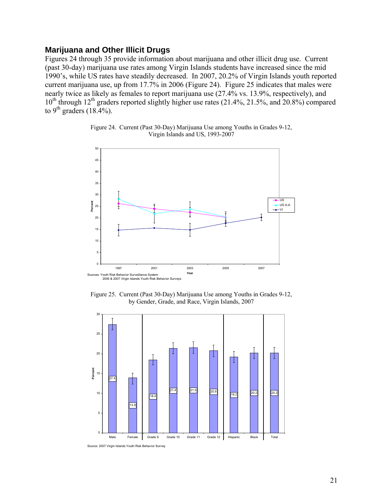#### <span id="page-23-0"></span>**Marijuana and Other Illicit Drugs**

Figures 24 through 35 provide information about marijuana and other illicit drug use. Current (past 30-day) marijuana use rates among Virgin Islands students have increased since the mid 1990's, while US rates have steadily decreased. In 2007, 20.2% of Virgin Islands youth reported current marijuana use, up from 17.7% in 2006 (Figure 24). Figure 25 indicates that males were nearly twice as likely as females to report marijuana use (27.4% vs. 13.9%, respectively), and 10<sup>th</sup> through 12<sup>th</sup> graders reported slightly higher use rates (21.4%, 21.5%, and 20.8%) compared to  $9^{\text{th}}$  graders (18.4%).





Figure 25. Current (Past 30-Day) Marijuana Use among Youths in Grades 9-12, by Gender, Grade, and Race, Virgin Islands, 2007



Source: 2007 Virgin Islands Youth Risk Behavior Survey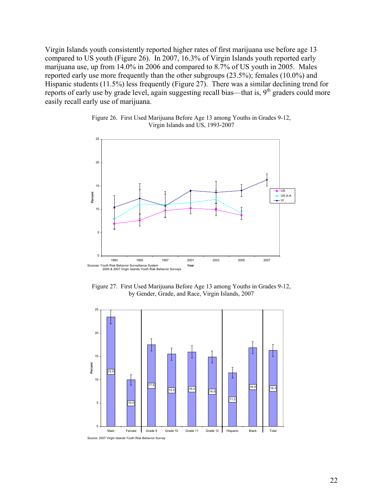Virgin Islands youth consistently reported higher rates of first marijuana use before age 13 compared to US youth (Figure 26). In 2007, 16.3% of Virgin Islands youth reported early marijuana use, up from 14.0% in 2006 and compared to 8.7% of US youth in 2005. Males reported early use more frequently than the other subgroups (23.5%); females (10.0%) and Hispanic students (11.5%) less frequently (Figure 27). There was a similar declining trend for reports of early use by grade level, again suggesting recall bias—that is, 9<sup>th</sup> graders could more easily recall early use of marijuana.



Figure 26. First Used Marijuana Before Age 13 among Youths in Grades 9-12, Virgin Islands and US, 1993-2007

Figure 27. First Used Marijuana Before Age 13 among Youths in Grades 9-12, by Gender, Grade, and Race, Virgin Islands, 2007

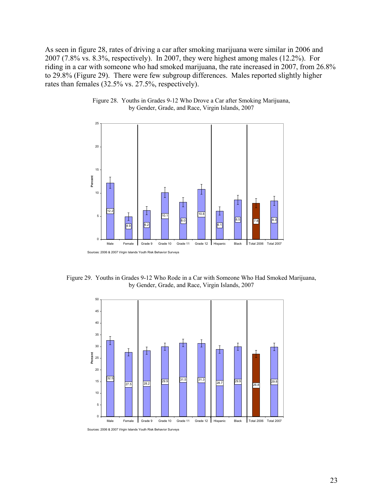As seen in figure 28, rates of driving a car after smoking marijuana were similar in 2006 and 2007 (7.8% vs. 8.3%, respectively). In 2007, they were highest among males (12.2%). For riding in a car with someone who had smoked marijuana, the rate increased in 2007, from 26.8% to 29.8% (Figure 29). There were few subgroup differences. Males reported slightly higher rates than females (32.5% vs. 27.5%, respectively).



Figure 28. Youths in Grades 9-12 Who Drove a Car after Smoking Marijuana, by Gender, Grade, and Race, Virgin Islands, 2007

Figure 29. Youths in Grades 9-12 Who Rode in a Car with Someone Who Had Smoked Marijuana, by Gender, Grade, and Race, Virgin Islands, 2007



Sources: 2006 & 2007 Virgin Islands Youth Risk Behavior Surveys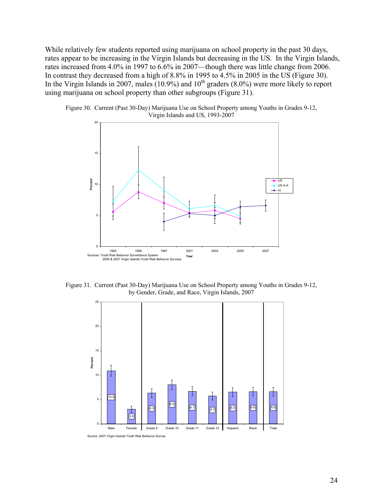While relatively few students reported using marijuana on school property in the past 30 days, rates appear to be increasing in the Virgin Islands but decreasing in the US. In the Virgin Islands, rates increased from 4.0% in 1997 to 6.6% in 2007—though there was little change from 2006. In contrast they decreased from a high of 8.8% in 1995 to 4.5% in 2005 in the US (Figure 30). In the Virgin Islands in 2007, males  $(10.9\%)$  and  $10<sup>th</sup>$  graders  $(8.0\%)$  were more likely to report using m arijuana on school property than other subgroups (Figure 31).





Figure 31. Current (Past 30-Day) Marijuana Use on School Property among Youths in Grades 9-12, by Gender, Grade, and Race, Virgin Islands, 2007



Source: 2007 Virgin Islands Youth Risk Behavior Survey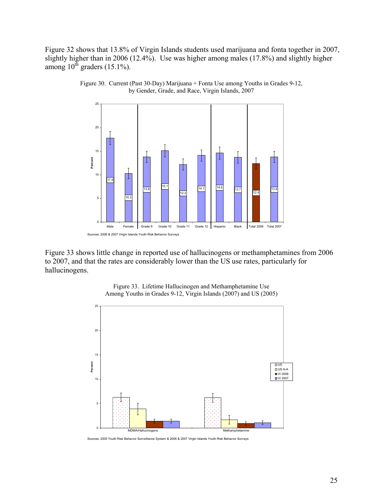Figure 32 shows that 13.8% of Virgin Islands students used marijuana and fonta together in 2007, slightly higher than in 2006 (12.4%). Use was higher among males (17.8%) and slightly higher among  $10^{th}$  graders  $(15.1\%)$ .





Figure 33 shows little change in reported use of hallucinogens or methamphetamines from 2006 to 2007, and that the rates are considerably lower than the US use rates, particularly for hallucinogens.



Figure 33. Lifetime Hallucinogen and Methamphetamine Use Among Youths in Grades 9-12, Virgin Islands (2007) and US (2005)

Sources: 2005 Youth Risk Behavior Surveillance System & 2006 & 2007 Virgin Islands Youth Risk Behavior Surveys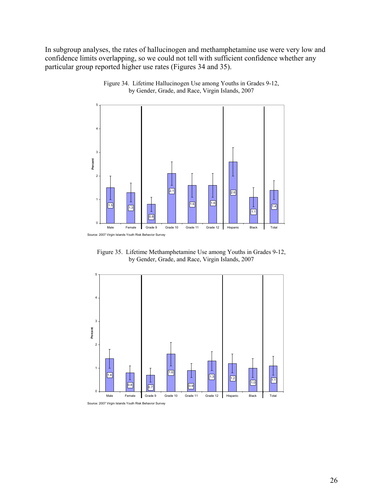In subgroup analyses, the rates of hallucinogen and methamphetamine use were very low and confidence limits overlapping, so we could not tell with sufficient confidence whether any particular group reported higher use rates (Figures 34 and 35).



Figure 34. Lifetime Hallucinogen Use among Youths in Grades 9-12, by Gender, Grade, and Race, Virgin Islands, 2007

Figure 35. Lifetime Methamphetamine Use among Youths in Grades 9-12, by Gender, Grade, and Race, Virgin Islands, 2007



Source: 2007 Virgin Islands Youth Risk Behavior Survey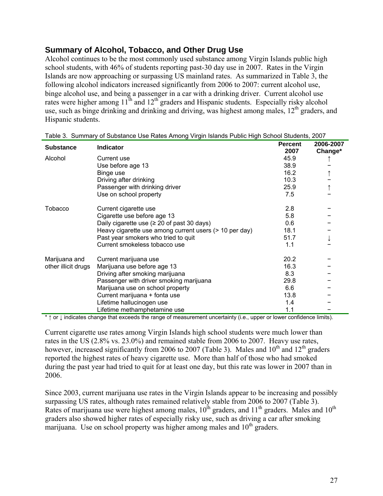## <span id="page-29-0"></span>**Summary of Alcohol, Tobacco, and Other Drug Use**

Alcohol continues to be the most commonly used substance among Virgin Islands public high school students, with 46% of students reporting past-30 day use in 2007. Rates in the Virgin Islands are now approaching or surpassing US mainland rates. As summarized in Table 3, the following alcohol indicators increased significantly from 2006 to 2007: current alcohol use, binge alcohol use, and being a passenger in a car with a drinking driver. Current alcohol use rates were higher among 11<sup>th</sup> and 12<sup>th</sup> graders and Hispanic students. Especially risky alcohol use, such as binge drinking and drinking and driving, was highest among males,  $12<sup>th</sup>$  graders, and Hispanic students.

|                     | Table J. Ourilliary of Oubstance Ose Rates Antony Virgin Blands Fublic High Ochool Ottuaritis, 2007 |                        |                      |
|---------------------|-----------------------------------------------------------------------------------------------------|------------------------|----------------------|
| <b>Substance</b>    | <b>Indicator</b>                                                                                    | <b>Percent</b><br>2007 | 2006-2007<br>Change* |
| Alcohol             | Current use                                                                                         | 45.9                   |                      |
|                     | Use before age 13                                                                                   | 38.9                   |                      |
|                     | Binge use                                                                                           | 16.2                   |                      |
|                     | Driving after drinking                                                                              | 10.3                   |                      |
|                     |                                                                                                     | 25.9                   |                      |
|                     | Passenger with drinking driver                                                                      |                        |                      |
|                     | Use on school property                                                                              | 7.5                    |                      |
| Tobacco             | Current cigarette use                                                                               | 2.8                    |                      |
|                     | Cigarette use before age 13                                                                         | 5.8                    |                      |
|                     | Daily cigarette use ( $\geq 20$ of past 30 days)                                                    | 0.6                    |                      |
|                     | Heavy cigarette use among current users (> 10 per day)                                              | 18.1                   |                      |
|                     | Past year smokers who tried to quit                                                                 | 51.7                   |                      |
|                     | Current smokeless tobacco use                                                                       | 1.1                    |                      |
| Marijuana and       | Current marijuana use                                                                               | 20.2                   |                      |
| other illicit drugs | Marijuana use before age 13                                                                         | 16.3                   |                      |
|                     | Driving after smoking marijuana                                                                     | 8.3                    |                      |
|                     | Passenger with driver smoking marijuana                                                             | 29.8                   |                      |
|                     | Marijuana use on school property                                                                    | 6.6                    |                      |
|                     | Current marijuana + fonta use                                                                       | 13.8                   |                      |
|                     | Lifetime hallucinogen use                                                                           | 1.4                    |                      |
|                     | Lifetime methamphetamine use                                                                        | 1.1                    |                      |

|  |  |  | Table 3. Summary of Substance Use Rates Among Virgin Islands Public High School Students, 2007 |  |
|--|--|--|------------------------------------------------------------------------------------------------|--|
|  |  |  |                                                                                                |  |

\* ↑ or ↓ indicates change that exceeds the range of measurement uncertainty (i.e., upper or lower confidence limits).

Current cigarette use rates among Virgin Islands high school students were much lower than rates in the US (2.8% vs. 23.0%) and remained stable from 2006 to 2007. Heavy use rates, however, increased significantly from 2006 to 2007 (Table 3). Males and  $10^{th}$  and  $12^{th}$  graders reported the highest rates of heavy cigarette use. More than half of those who had smoked during the past year had tried to quit for at least one day, but this rate was lower in 2007 than in 2006.

Since 2003, current marijuana use rates in the Virgin Islands appear to be increasing and possibly surpassing US rates, although rates remained relatively stable from 2006 to 2007 (Table 3). Rates of marijuana use were highest among males,  $10^{th}$  graders, and  $11^{th}$  graders. Males and  $10^{th}$ graders also showed higher rates of especially risky use, such as driving a car after smoking marijuana. Use on school property was higher among males and  $10<sup>th</sup>$  graders.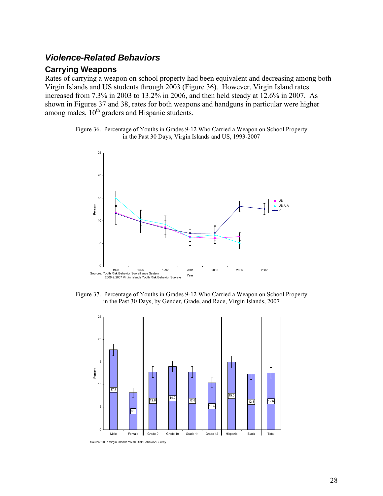# <span id="page-30-0"></span>*Violence-Related Behaviors*

#### **Carrying Weapons**

Rates of carrying a weapon on school property had been equivalent and decreasing among both Virgin Islands and US students through 2003 (Figure 36). However, Virgin Island rates increased from 7.3% in 2003 to 13.2% in 2006, and then held steady at 12.6% in 2007. As shown in Figures 37 and 38, rates for both weapons and handguns in particular were higher among males,  $10^{th}$  graders and Hispanic students.

Figure 36. Percentage of Youths in Grades 9-12 Who Carried a Weapon on School Property in the Past 30 Days, Virgin Islands and US, 1993-2007



Figure 37. Percentage of Youths in Grades 9-12 Who Carried a Weapon on School Property in the Past 30 Days, by Gender, Grade, and Race, Virgin Islands, 2007



Source: 2007 Virgin Islands Youth Risk Behavior Survey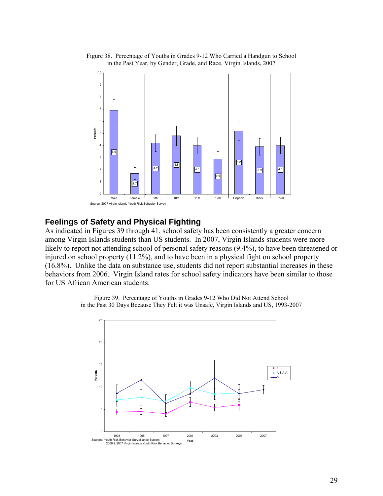

<span id="page-31-0"></span>Figure 38. Percentage of Youths in Grades 9-12 Who Carried a Handgun to School in the Past Year, by Gender, Grade, and Race, Virgin Islands, 2007

#### **Feelings of Safety and Physical Fighting**

As indicated in Figures 39 through 41, school safety has been consistently a greater concern among Virgin Islands students than US students. In 2007, Virgin Islands students were more likely to report not attending school of personal safety reasons  $(9.4\%)$ , to have been threatened or injured on school property (11.2%), and to have been in a physical fight on school property (16.8%). Unlike the data on substance use, students did not report substantial increases in these behaviors from 2006. Virgin Island rates for school safety indicators have been similar to those for US African American students.



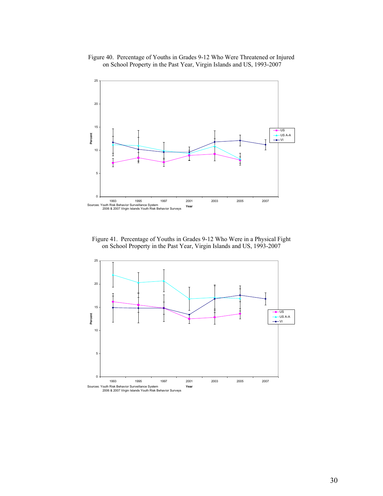#### Figure 40. Percentage of Youths in Grades 9-12 Who Were Threatened or Injured on School Property in the Past Year, Virgin Islands and US, 1993-2007



Figure 41. Percentage of Youths in Grades 9-12 Who Were in a Physical Fight on School Property in the Past Year, Virgin Islands and US, 1993-2007

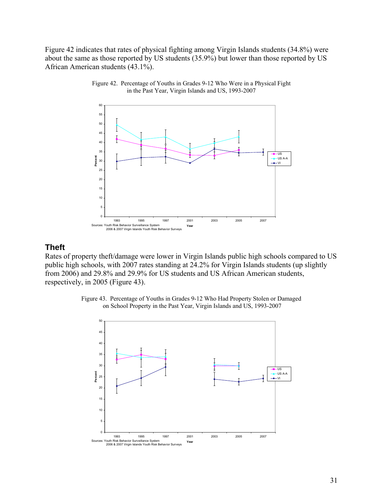<span id="page-33-0"></span>Figure 42 indicates that rates of physical fighting among Virgin Islands students (34.8%) were about the same as those reported by US students (35.9%) but lower than those reported by US African American students (43.1%).





#### **Theft**

Rates of property theft/damage were lower in Virgin Islands public high schools compared to US public high schools, with 2007 rates standing at 24.2% for Virgin Islands students (up slightly from 2006) and 29.8% and 29.9% for US students and US African American students, respectively, in 2005 (Figure 43).



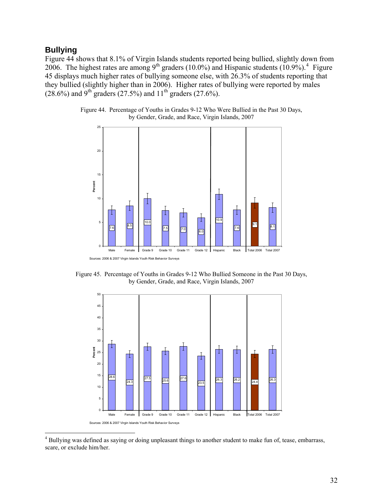#### <span id="page-34-0"></span>**Bullying**

 $\overline{a}$ 

Figure 44 shows that 8.1% of Virgin Islands students reported being bullied, slightly down from 2006. The highest rates are among  $9^{th}$  graders (10.0%) and Hispanic students (10.9%).<sup>[4](#page-34-1)</sup> Figure 45 displays much higher rates of bullying someone else, with 26.3% of students reporting that they bullied (slightly higher than in 2006). Higher rates of bullying were reported by males  $(28.6\%)$  and 9<sup>th</sup> graders (27.5%) and 11<sup>th</sup> graders (27.6%).



![](_page_34_Figure_3.jpeg)

Sources: 2006 & 2007 Virgin Islands Youth Risk Behavior Surveys

Figure 45. Percentage of Youths in Grades 9-12 Who Bullied Someone in the Past 30 Days, by Gender, Grade, and Race, Virgin Islands, 2007

![](_page_34_Figure_6.jpeg)

<span id="page-34-1"></span><sup>4</sup> Bullying was defined as saying or doing unpleasant things to another student to make fun of, tease, embarrass, scare, or exclude him/her.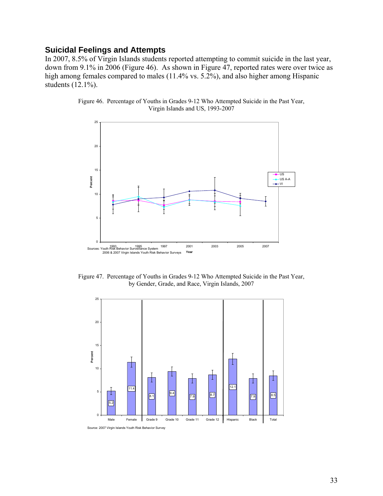#### <span id="page-35-0"></span>**Suicidal Feelings and Attempts**

In 2007, 8.5% of Virgin Islands students reported attempting to commit suicide in the last year, down from 9.1% in 2006 (Figure 46). As shown in Figure 47, reported rates were over twice as high among females compared to males (11.4% vs. 5.2%), and also higher among Hispanic students (12.1%).

![](_page_35_Figure_2.jpeg)

![](_page_35_Figure_3.jpeg)

Figure 47. Percentage of Youths in Grades 9-12 Who Attempted Suicide in the Past Year, by Gender, Grade, and Race, Virgin Islands, 2007

![](_page_35_Figure_5.jpeg)

Source: 2007 Virgin Islands Youth Risk Behavior Survey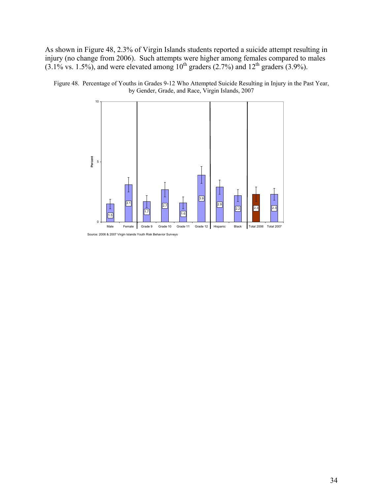As shown in Figure 48, 2.3% of Virgin Islands students reported a suicide attempt resulting in injury (no change from 2006). Such attempts were higher among females compared to males  $(3.1\% \text{ vs. } 1.5\%)$ , and were elevated among  $10^{\text{th}}$  graders  $(2.7\%)$  and  $12^{\text{th}}$  graders  $(3.9\%)$ .

![](_page_36_Figure_1.jpeg)

Figure 48. Percentage of Youths in Grades 9-12 Who Attempted Suicide Resulting in Injury in the Past Year, by Gender, Grade, and Race, Virgin Islands, 2007

Source: 2006 & 2007 Virgin Islands Youth Risk Behavior Surveys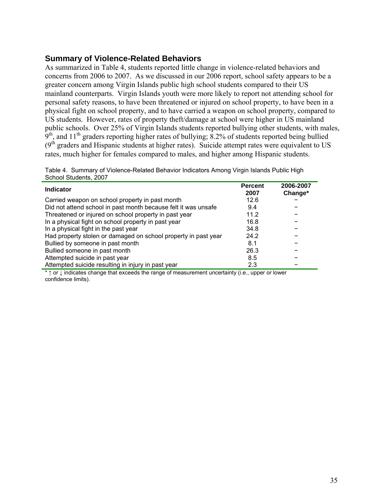#### <span id="page-37-0"></span>**Summary of Violence-Related Behaviors**

As summarized in Table 4, students reported little change in violence-related behaviors and concerns from 2006 to 2007. As we discussed in our 2006 report, school safety appears to be a greater concern among Virgin Islands public high school students compared to their US mainland counterparts. Virgin Islands youth were more likely to report not attending school for personal safety reasons, to have been threatened or injured on school property, to have been in a physical fight on school property, and to have carried a weapon on school property, compared to US students. However, rates of property theft/damage at school were higher in US mainland public schools. Over 25% of Virgin Islands students reported bullying other students, with males, 9<sup>th</sup>, and 11<sup>th</sup> graders reporting higher rates of bullying; 8.2% of students reported being bullied  $(9<sup>th</sup>$  graders and Hispanic students at higher rates). Suicide attempt rates were equivalent to US rates, much higher for females compared to males, and higher among Hispanic students.

Table 4. Summary of Violence-Related Behavior Indicators Among Virgin Islands Public High School Students, 2007

| <b>Indicator</b>                                               | <b>Percent</b><br>2007 | 2006-2007<br>Change* |
|----------------------------------------------------------------|------------------------|----------------------|
| Carried weapon on school property in past month                | 12.6                   |                      |
| Did not attend school in past month because felt it was unsafe | 9.4                    |                      |
| Threatened or injured on school property in past year          | 11.2                   |                      |
| In a physical fight on school property in past year            | 16.8                   |                      |
| In a physical fight in the past year                           | 34.8                   |                      |
| Had property stolen or damaged on school property in past year | 24.2                   |                      |
| Bullied by someone in past month                               | 8.1                    |                      |
| Bullied someone in past month                                  | 26.3                   |                      |
| Attempted suicide in past year                                 | 8.5                    |                      |
| Attempted suicide resulting in injury in past year             | 2.3                    |                      |

\* ↑ or ↓ indicates change that exceeds the range of measurement uncertainty (i.e., upper or lower confidence limits).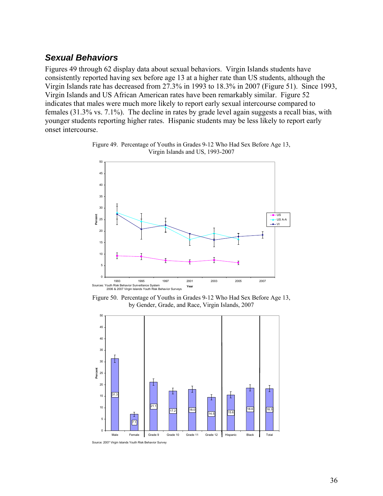## <span id="page-38-0"></span>*Sexual Behaviors*

Figures 49 through 62 display data about sexual behaviors. Virgin Islands students have consistently reported having sex before age 13 at a higher rate than US students, although the Virgin Islands rate has decreased from 27.3% in 1993 to 18.3% in 2007 (Figure 51). Since 1993, Virgin Islands and US African American rates have been remarkably similar. Figure 52 indicates that males were much more likely to report early sexual intercourse compared to females (31.3% vs. 7.1%). The decline in rates by grade level again suggests a recall bias, with younger students reporting higher rates. Hispanic students may be less likely to report early onset intercourse.

![](_page_38_Figure_2.jpeg)

![](_page_38_Figure_3.jpeg)

Figure 50. Percentage of Youths in Grades 9-12 Who Had Sex Before Age 13, by Gender, Grade, and Race, Virgin Islands, 2007

![](_page_38_Figure_5.jpeg)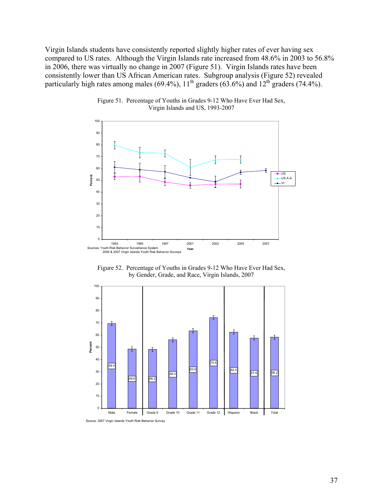Virgin Islands students have consistently reported slightly higher rates of ever having sex compared to US rates. Although the Virgin Islands rate increased from 48.6% in 2003 to 56.8% in 2006, there was virtually no change in 2007 (Figure 51). Virgin Islands rates have been consistently lower than US African American rates. Subgroup analysis (Figure 52) revealed particularly high rates among males (69.4%),  $11^{th}$  graders (63.6%) and  $12^{th}$  graders (74.4%).

![](_page_39_Figure_1.jpeg)

Figure 51. Percentage of Youths in Grades 9-12 Who Have Ever Had Sex, Virgin Islands and US, 1993-2007

Figure 52. Percentage of Youths in Grades 9-12 Who Have Ever Had Sex, by Gender, Grade, and Race, Virgin Islands, 2007

![](_page_39_Figure_4.jpeg)

Source: 2007 Virgin Islands Youth Risk Behavior Survey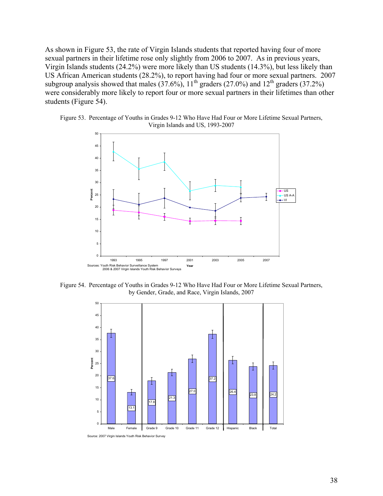As shown in Figure 53, the rate of Virgin Islands students that reported having four of more sexual partners in their lifetime rose only slightly from 2006 to 2007. As in previous years, Virgin Islands students (24.2%) were more likely than US students (14.3%), but less likely than US African American students (28.2%), to report having had four or more sexual partners. 2007 subgroup analysis showed that males  $(37.6\%)$ ,  $11<sup>th</sup>$  graders  $(27.0\%)$  and  $12<sup>th</sup>$  graders  $(37.2\%)$ were considerably more likely to report four or more sexual partners in their lifetimes than other students (Figure 54).

Figure 53. Percentage of Youths in Grades 9-12 Who Have Had Four or More Lifetime Sexual Partners, Virgin Islands and US, 1993-2007

![](_page_40_Figure_2.jpeg)

Figure 54. Percentage of Youths in Grades 9-12 Who Have Had Four or More Lifetime Sexual Partners, by Gender, Grade, and Race, Virgin Islands, 2007

![](_page_40_Figure_4.jpeg)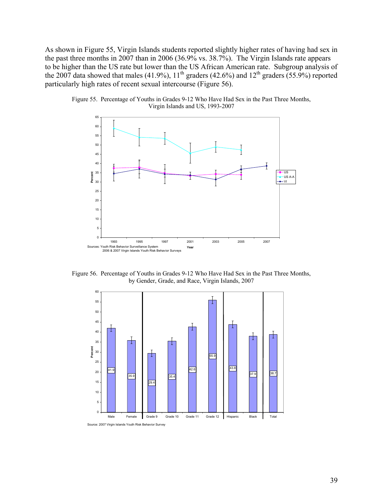As shown in Figure 55, Virgin Islands students reported slightly higher rates of having had sex in the past three months in 2007 than in 2006 (36.9% vs. 38.7%). The Virgin Islands rate appears to be higher than the US rate but lower than the US African American rate. Subgroup analysis of the 2007 data showed that males  $(41.9\%)$ ,  $11<sup>th</sup>$  graders  $(42.6\%)$  and  $12<sup>th</sup>$  graders  $(55.9\%)$  reported particularly high rates of recent sexual intercourse (Figure 56).

![](_page_41_Figure_1.jpeg)

![](_page_41_Figure_2.jpeg)

Figure 56. Percentage of Youths in Grades 9-12 Who Have Had Sex in the Past Three Months, by Gender, Grade, and Race, Virgin Islands, 2007

![](_page_41_Figure_4.jpeg)

Source: 2007 Virgin Islands Youth Risk Behavior Survey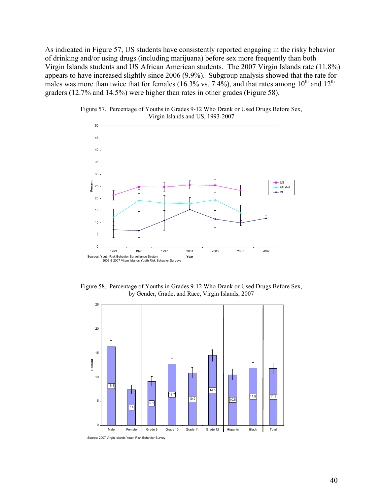As indicated in Figure 57, US students have consistently reported engaging in the risky behavior of drinking and/or using drugs (including marijuana) before sex more frequently than both Virgin Islands students and US African American students. The 2007 Virgin Islands rate (11.8%) appears to have increased slightly since 2006 (9.9%). Subgroup analysis showed that the rate for males was more than twice that for females (16.3% vs. 7.4%), and that rates among  $10^{th}$  and  $12^{th}$ graders (12.7% and 14.5%) were higher than rates in other grades (Figure 58).

![](_page_42_Figure_1.jpeg)

Figure 57. Percentage of Youths in Grades 9-12 Who Drank or Used Drugs Before Sex, Virgin Islands and US, 1993-2007

Figure 58. Percentage of Youths in Grades 9-12 Who Drank or Used Drugs Before Sex, by Gender, Grade, and Race, Virgin Islands, 2007

![](_page_42_Figure_4.jpeg)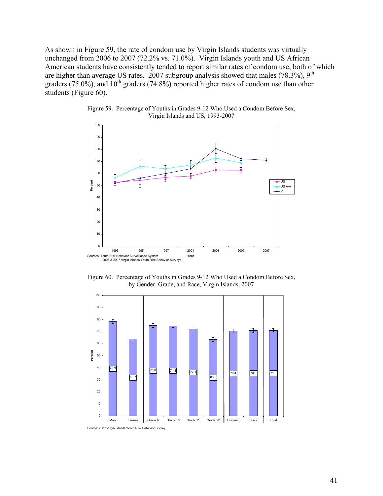As shown in Figure 59, the rate of condom use by Virgin Islands students was virtually unchanged from 2006 to 2007 (72.2% vs. 71.0%). Virgin Islands youth and US African American students have consistently tended to report similar rates of condom use, both of which are higher than average US rates. 2007 subgroup analysis showed that males  $(78.3\%)$ ,  $9<sup>th</sup>$ graders (75.0%), and  $10^{th}$  graders (74.8%) reported higher rates of condom use than other students (Figure 60).

![](_page_43_Figure_1.jpeg)

Figure 59. Percentage of Youths in Grades 9-12 Who Used a Condom Before Sex, Virgin Islands and US, 1993-2007

Figure 60. Percentage of Youths in Grades 9-12 Who Used a Condom Before Sex, by Gender, Grade, and Race, Virgin Islands, 2007

![](_page_43_Figure_4.jpeg)

Source: 2007 Virgin Islands Youth Risk Behavior Survey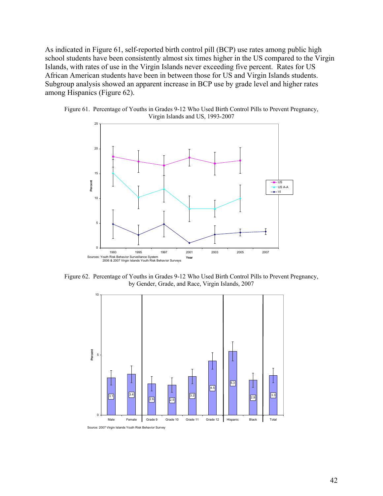As indicated in Figure 61, self-reported birth control pill (BCP) use rates among public high school students have been consistently almost six times higher in the US compared to the Virgin Islands, with rates of use in the Virgin Islands never exceeding five percent. Rates for US African American students have been in between those for US and Virgin Islands students. Subgroup analysis showed an apparent increase in BCP use by grade level and higher rates among Hispanics (Figure 62).

![](_page_44_Figure_1.jpeg)

![](_page_44_Figure_2.jpeg)

Figure 62. Percentage of Youths in Grades 9-12 Who Used Birth Control Pills to Prevent Pregnancy, by Gender, Grade, and Race, Virgin Islands, 2007

![](_page_44_Figure_4.jpeg)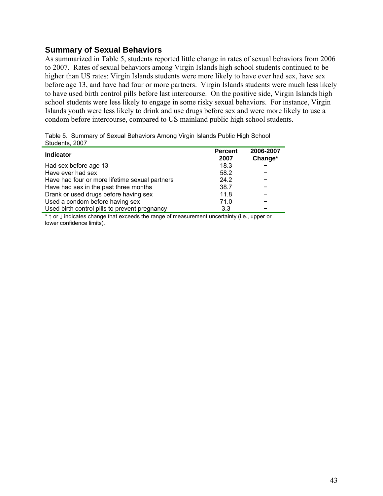#### <span id="page-45-0"></span>**Summary of Sexual Behaviors**

As summarized in Table 5, students reported little change in rates of sexual behaviors from 2006 to 2007. Rates of sexual behaviors among Virgin Islands high school students continued to be higher than US rates: Virgin Islands students were more likely to have ever had sex, have sex before age 13, and have had four or more partners. Virgin Islands students were much less likely to have used birth control pills before last intercourse. On the positive side, Virgin Islands high school students were less likely to engage in some risky sexual behaviors. For instance, Virgin Islands youth were less likely to drink and use drugs before sex and were more likely to use a condom before intercourse, compared to US mainland public high school students.

| Sludents, 2007                                 |                        |                      |
|------------------------------------------------|------------------------|----------------------|
| <b>Indicator</b>                               | <b>Percent</b><br>2007 | 2006-2007<br>Change* |
| Had sex before age 13                          | 18.3                   |                      |
| Have ever had sex                              | 58.2                   |                      |
| Have had four or more lifetime sexual partners | 24.2                   |                      |
| Have had sex in the past three months          | 38.7                   |                      |
| Drank or used drugs before having sex          | 11.8                   |                      |
| Used a condom before having sex                | 71.0                   |                      |
| Used birth control pills to prevent pregnancy  | 3.3                    |                      |

Table 5. Summary of Sexual Behaviors Among Virgin Islands Public High School Students, 2007

\* ↑ or ↓ indicates change that exceeds the range of measurement uncertainty (i.e., upper or lower confidence limits).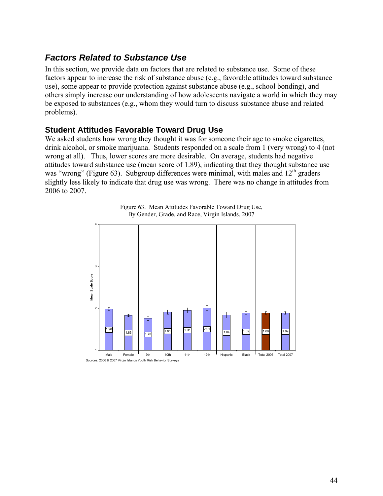# <span id="page-46-0"></span>*Factors Related to Substance Use*

In this section, we provide data on factors that are related to substance use. Some of these factors appear to increase the risk of substance abuse (e.g., favorable attitudes toward substance use), some appear to provide protection against substance abuse (e.g., school bonding), and others simply increase our understanding of how adolescents navigate a world in which they may be exposed to substances (e.g., whom they would turn to discuss substance abuse and related problems).

#### **Student Attitudes Favorable Toward Drug Use**

We asked students how wrong they thought it was for someone their age to smoke cigarettes, drink alcohol, or smoke marijuana. Students responded on a scale from 1 (very wrong) to 4 (not wrong at all). Thus, lower scores are more desirable. On average, students had negative attitudes toward substance use (mean score of 1.89), indicating that they thought substance use was "wrong" (Figure 63). Subgroup differences were minimal, with males and  $12<sup>th</sup>$  graders slightly less likely to indicate that drug use was wrong. There was no change in attitudes from 2006 to 2007.

![](_page_46_Figure_4.jpeg)

Figure 63. Mean Attitudes Favorable Toward Drug Use, By Gender, Grade, and Race, Virgin Islands, 2007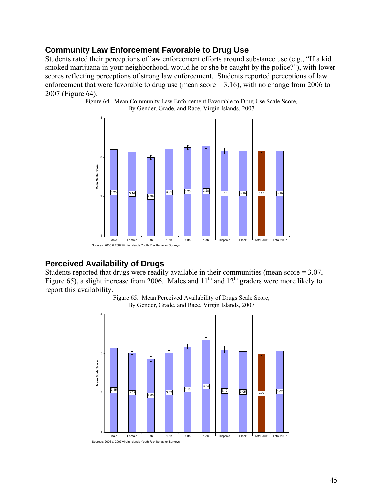### <span id="page-47-0"></span>**Community Law Enforcement Favorable to Drug Use**

Students rated their perceptions of law enforcement efforts around substance use (e.g., "If a kid smoked marijuana in your neighborhood, would he or she be caught by the police?"), with lower scores reflecting perceptions of strong law enforcement. Students reported perceptions of law enforcement that were favorable to drug use (mean score = 3.16), with no change from 2006 to 2007 (Figure 64).

> 4 т 3 **Mean Scale Score** Mean Scale Score **3.20** 3.14 3.21 3.25 <sup>3.28</sup> 3.16 3.16 3.15 3.16  $3.14$   $2.99$ 2 1 Male Female 9th 10th 11th 12th Hispanic Black Total 2006 Total 2007 Sources: 2006 & 2007 Virgin Islands Youth Risk Behavior Surveys

Figure 64. Mean Community Law Enforcement Favorable to Drug Use Scale Score, By Gender, Grade, and Race, Virgin Islands, 2007

#### **Perceived Availability of Drugs**

Students reported that drugs were readily available in their communities (mean score = 3.07, Figure 65), a slight increase from 2006. Males and  $11<sup>th</sup>$  and  $12<sup>th</sup>$  graders were more likely to report this availability.

![](_page_47_Figure_6.jpeg)

![](_page_47_Figure_7.jpeg)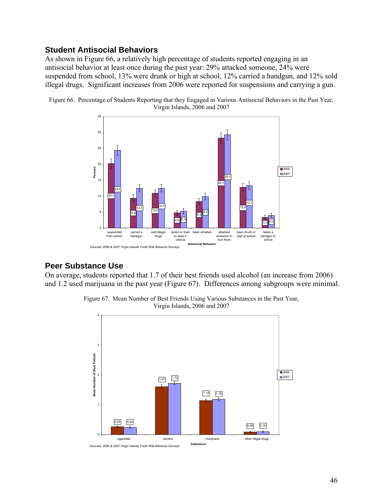#### <span id="page-48-0"></span>**Student Antisocial Behaviors**

As shown in Figure 66, a relatively high percentage of students reported engaging in an antisocial behavior at least once during the past year: 29% attacked someone, 24% were suspended from school, 13% were drunk or high at school, 12% carried a handgun, and 12% sold illegal drugs. Significant increases from 2006 were reported for suspensions and carrying a gun.

![](_page_48_Figure_2.jpeg)

Figure 66. Percentage of Students Reporting that they Engaged in Various Antisocial Behaviors in the Past Year, Virgin Islands, 2006 and 2007

#### **Peer Substance Use**

On average, students reported that 1.7 of their best friends used alcohol (an increase from 2006) and 1.2 used marijuana in the past year (Figure 67). Differences among subgroups were minimal.

![](_page_48_Figure_6.jpeg)

![](_page_48_Figure_7.jpeg)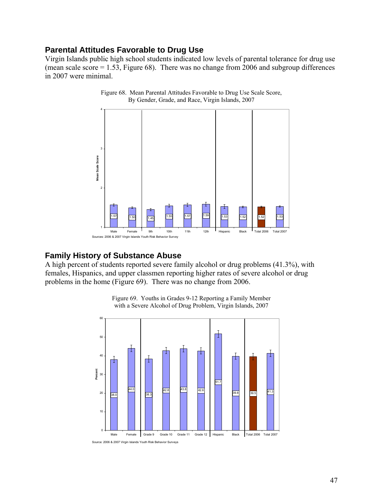#### <span id="page-49-0"></span>**Parental Attitudes Favorable to Drug Use**

Virgin Islands public high school students indicated low levels of parental tolerance for drug use (mean scale score = 1.53, Figure 68). There was no change from 2006 and subgroup differences in 2007 were minimal.

![](_page_49_Figure_2.jpeg)

Figure 68. Mean Parental Attitudes Favorable to Drug Use Scale Score, By Gender, Grade, and Race, Virgin Islands, 2007

#### **Family History of Substance Abuse**

A high percent of students reported severe family alcohol or drug problems (41.3%), with females, Hispanics, and upper classmen reporting higher rates of severe alcohol or drug problems in the home (Figure 69). There was no change from 2006.

![](_page_49_Figure_6.jpeg)

Figure 69. Youths in Grades 9-12 Reporting a Family Member with a Severe Alcohol of Drug Problem, Virgin Islands, 2007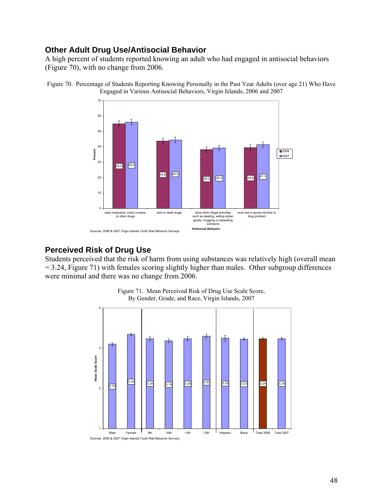### <span id="page-50-0"></span>**Other Adult Drug Use/Antisocial Behavior**

A high percent of students reported knowing an adult who had engaged in antisocial behaviors (Figure 70), with no change from 2006.

![](_page_50_Figure_2.jpeg)

Figure 70. Percentage of Students Reporting Knowing Personally in the Past Year Adults (over age 21) Who Have Engaged in Various Antisocial Behaviors, Virgin Islands, 2006 and 2007

#### **Perceived Risk of Drug Use**

Students perceived that the risk of harm from using substances was relatively high (overall mean = 3.24, Figure 71) with females scoring slightly higher than males. Other subgroup differences were minimal and there was no change from 2006.

![](_page_50_Figure_6.jpeg)

Figure 71. Mean Perceived Risk of Drug Use Scale Score, By Gender, Grade, and Race, Virgin Islands, 2007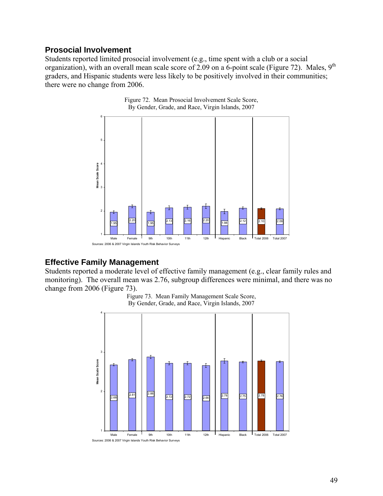#### <span id="page-51-0"></span>**Prosocial Involvement**

Students reported limited prosocial involvement (e.g., time spent with a club or a social organization), with an overall mean scale score of 2.09 on a 6-point scale (Figure 72). Males, 9<sup>th</sup> graders, and Hispanic students were less likely to be positively involved in their communities; there were no change from 2006.

![](_page_51_Figure_2.jpeg)

Figure 72. Mean Prosocial Involvement Scale Score, By Gender, Grade, and Race, Virgin Islands, 2007

#### **Effective Family Management**

Students reported a moderate level of effective family management (e.g., clear family rules and monitoring). The overall mean was 2.76, subgroup differences were minimal, and there was no change from 2006 (Figure 73).

![](_page_51_Figure_6.jpeg)

Figure 73. Mean Family Management Scale Score, By Gender, Grade, and Race, Virgin Islands, 2007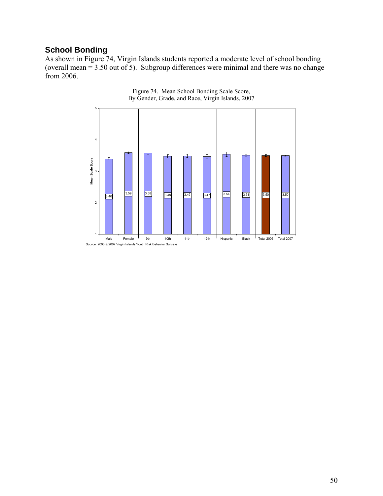### <span id="page-52-0"></span>**School Bonding**

As shown in Figure 74, Virgin Islands students reported a moderate level of school bonding (overall mean = 3.50 out of 5). Subgroup differences were minimal and there was no change from 2006.

![](_page_52_Figure_2.jpeg)

![](_page_52_Figure_3.jpeg)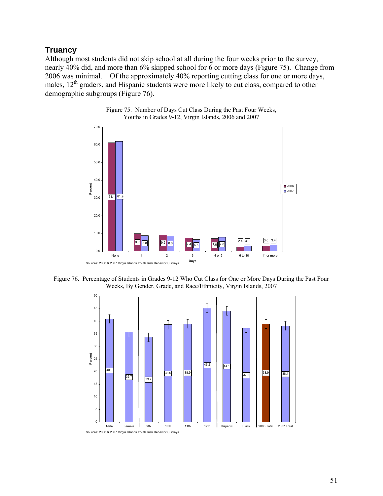### <span id="page-53-0"></span>**Truancy**

Although most students did not skip school at all during the four weeks prior to the survey, nearly 40% did, and more than 6% skipped school for 6 or more days (Figure 75). Change from 2006 was minimal. Of the approximately 40% reporting cutting class for one or more days, males,  $12<sup>th</sup>$  graders, and Hispanic students were more likely to cut class, compared to other demographic subgroups (Figure 76).

![](_page_53_Figure_2.jpeg)

![](_page_53_Figure_3.jpeg)

Figure 76. Percentage of Students in Grades 9-12 Who Cut Class for One or More Days During the Past Four Weeks, By Gender, Grade, and Race/Ethnicity, Virgin Islands, 2007

![](_page_53_Figure_5.jpeg)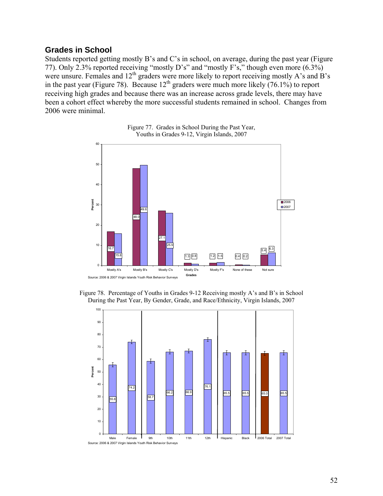#### <span id="page-54-0"></span>**Grades in School**

Students reported getting mostly B's and C's in school, on average, during the past year (Figure 77). Only 2.3% reported receiving "mostly D's" and "mostly F's," though even more (6.3%) were unsure. Females and 12<sup>th</sup> graders were more likely to report receiving mostly A's and B's in the past year (Figure 78). Because  $12<sup>th</sup>$  graders were much more likely  $(76.1\%)$  to report receiving high grades and because there was an increase across grade levels, there may have been a cohort effect whereby the more successful students remained in school. Changes from 2006 were minimal.

![](_page_54_Figure_2.jpeg)

![](_page_54_Figure_3.jpeg)

Figure 78. Percentage of Youths in Grades 9-12 Receiving mostly A's and B's in School During the Past Year, By Gender, Grade, and Race/Ethnicity, Virgin Islands, 2007

![](_page_54_Figure_5.jpeg)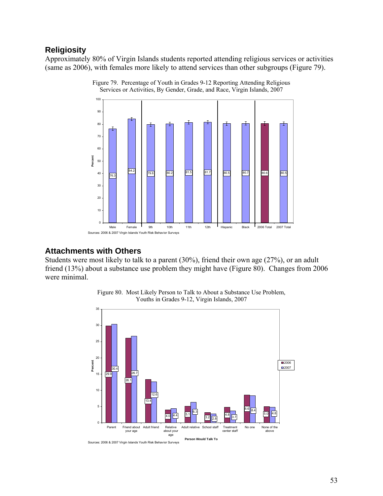## <span id="page-55-0"></span>**Religiosity**

Approximately 80% of Virgin Islands students reported attending religious services or activities (same as 2006), with females more likely to attend services than other subgroups (Figure 79).

![](_page_55_Figure_2.jpeg)

![](_page_55_Figure_3.jpeg)

#### **Attachments with Others**

Students were most likely to talk to a parent (30%), friend their own age (27%), or an adult friend (13%) about a substance use problem they might have (Figure 80). Changes from 2006 were minimal.

![](_page_55_Figure_6.jpeg)

Figure 80. Most Likely Person to Talk to About a Substance Use Problem, Youths in Grades 9-12, Virgin Islands, 2007

Sources: 2006 & 2007 Virgin Islands Youth Risk Behavior Surveys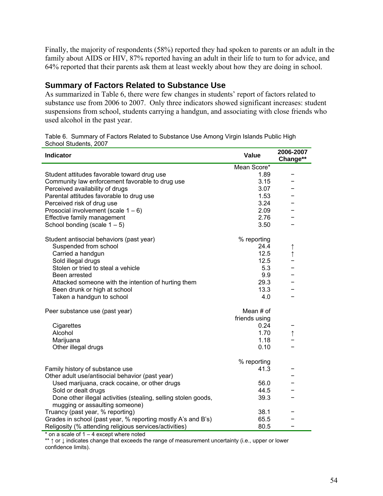<span id="page-56-0"></span>Finally, the majority of respondents (58%) reported they had spoken to parents or an adult in the family about AIDS or HIV, 87% reported having an adult in their life to turn to for advice, and 64% reported that their parents ask them at least weekly about how they are doing in school.

### **Summary of Factors Related to Substance Use**

As summarized in Table 6, there were few changes in students' report of factors related to substance use from 2006 to 2007. Only three indicators showed significant increases: student suspensions from school, students carrying a handgun, and associating with close friends who used alcohol in the past year.

| Table 6. Summary of Factors Related to Substance Use Among Virgin Islands Public High |
|---------------------------------------------------------------------------------------|
| School Students, 2007                                                                 |

| <b>Indicator</b>                                                                                 | Value         | 2006-2007<br>Change** |
|--------------------------------------------------------------------------------------------------|---------------|-----------------------|
|                                                                                                  | Mean Score*   |                       |
| Student attitudes favorable toward drug use                                                      | 1.89          |                       |
| Community law enforcement favorable to drug use                                                  | 3.15          |                       |
| Perceived availability of drugs                                                                  | 3.07          |                       |
| Parental attitudes favorable to drug use                                                         | 1.53          |                       |
| Perceived risk of drug use                                                                       | 3.24          |                       |
| Prosocial involvement (scale $1 - 6$ )                                                           | 2.09          |                       |
| Effective family management                                                                      | 2.76          |                       |
| School bonding (scale $1 - 5$ )                                                                  | 3.50          |                       |
| Student antisocial behaviors (past year)                                                         | % reporting   |                       |
| Suspended from school                                                                            | 24.4          | $\uparrow$            |
| Carried a handgun                                                                                | 12.5          | $\uparrow$            |
| Sold illegal drugs                                                                               | 12.5          |                       |
| Stolen or tried to steal a vehicle                                                               | 5.3           |                       |
| Been arrested                                                                                    | 9.9           |                       |
| Attacked someone with the intention of hurting them                                              | 29.3          |                       |
| Been drunk or high at school                                                                     | 13.3          |                       |
| Taken a handgun to school                                                                        | 4.0           |                       |
| Peer substance use (past year)                                                                   | Mean # of     |                       |
|                                                                                                  | friends using |                       |
| Cigarettes                                                                                       | 0.24          |                       |
| Alcohol                                                                                          | 1.70          | $\uparrow$            |
| Marijuana                                                                                        | 1.18          |                       |
| Other illegal drugs                                                                              | 0.10          |                       |
|                                                                                                  | % reporting   |                       |
| Family history of substance use                                                                  | 41.3          |                       |
| Other adult use/antisocial behavior (past year)                                                  |               |                       |
| Used marijuana, crack cocaine, or other drugs                                                    | 56.0          |                       |
| Sold or dealt drugs                                                                              | 44.5          |                       |
| Done other illegal activities (stealing, selling stolen goods,<br>mugging or assaulting someone) | 39.3          |                       |
| Truancy (past year, % reporting)                                                                 | 38.1          |                       |
| Grades in school (past year, % reporting mostly A's and B's)                                     | 65.5          |                       |
| Religosity (% attending religious services/activities)                                           | 80.5          |                       |

 $*$  on a scale of  $1 - 4$  except where noted

\*\* ↑ or ↓ indicates change that exceeds the range of measurement uncertainty (i.e., upper or lower confidence limits).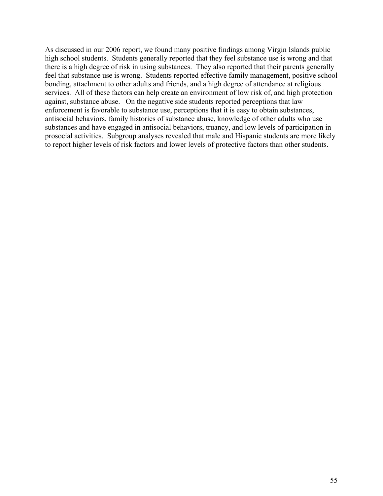As discussed in our 2006 report, we found many positive findings among Virgin Islands public high school students. Students generally reported that they feel substance use is wrong and that there is a high degree of risk in using substances. They also reported that their parents generally feel that substance use is wrong. Students reported effective family management, positive school bonding, attachment to other adults and friends, and a high degree of attendance at religious services. All of these factors can help create an environment of low risk of, and high protection against, substance abuse. On the negative side students reported perceptions that law enforcement is favorable to substance use, perceptions that it is easy to obtain substances, antisocial behaviors, family histories of substance abuse, knowledge of other adults who use substances and have engaged in antisocial behaviors, truancy, and low levels of participation in prosocial activities. Subgroup analyses revealed that male and Hispanic students are more likely to report higher levels of risk factors and lower levels of protective factors than other students.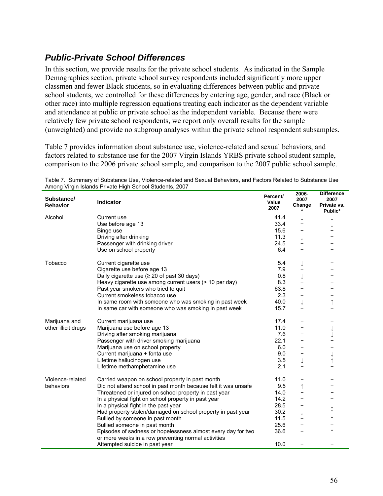# <span id="page-58-0"></span>*Public-Private School Differences*

In this section, we provide results for the private school students. As indicated in the Sample Demographics section, private school survey respondents included significantly more upper classmen and fewer Black students, so in evaluating differences between public and private school students, we controlled for these differences by entering age, gender, and race (Black or other race) into multiple regression equations treating each indicator as the dependent variable and attendance at public or private school as the independent variable. Because there were relatively few private school respondents, we report only overall results for the sample (unweighted) and provide no subgroup analyses within the private school respondent subsamples.

Table 7 provides information about substance use, violence-related and sexual behaviors, and factors related to substance use for the 2007 Virgin Islands YRBS private school student sample, comparison to the 2006 private school sample, and comparison to the 2007 public school sample.

| Substance/<br><b>Behavior</b> | <b>Indicator</b>                                                                                                    | Percent/<br>Value<br>2007 | 2006-<br>2007<br>Change | <b>Difference</b><br>2007<br>Private vs.<br>Public* |
|-------------------------------|---------------------------------------------------------------------------------------------------------------------|---------------------------|-------------------------|-----------------------------------------------------|
| Alcohol                       | Current use                                                                                                         | 41.4                      | ↓                       |                                                     |
|                               | Use before age 13                                                                                                   | 33.4                      |                         |                                                     |
|                               | Binge use                                                                                                           | 15.6                      |                         |                                                     |
|                               | Driving after drinking                                                                                              | 11.3                      | ↓                       |                                                     |
|                               | Passenger with drinking driver                                                                                      | 24.5                      |                         |                                                     |
|                               | Use on school property                                                                                              | 6.4                       |                         |                                                     |
| Tobacco                       | Current cigarette use                                                                                               | 5.4                       | ↓                       |                                                     |
|                               | Cigarette use before age 13                                                                                         | 7.9                       |                         |                                                     |
|                               | Daily cigarette use $(≥ 20$ of past 30 days)                                                                        | 0.8                       | $\downarrow$            |                                                     |
|                               | Heavy cigarette use among current users (> 10 per day)                                                              | 8.3                       |                         |                                                     |
|                               | Past year smokers who tried to quit                                                                                 | 63.8                      |                         |                                                     |
|                               | Current smokeless tobacco use                                                                                       | 2.3                       |                         |                                                     |
|                               | In same room with someone who was smoking in past week                                                              | 40.0                      | $\downarrow$            | ↑                                                   |
|                               | In same car with someone who was smoking in past week                                                               | 15.7                      |                         |                                                     |
| Marijuana and                 | Current marijuana use                                                                                               | 17.4                      |                         |                                                     |
| other illicit drugs           | Marijuana use before age 13                                                                                         | 11.0                      |                         |                                                     |
|                               | Driving after smoking marijuana                                                                                     | 7.6                       |                         |                                                     |
|                               | Passenger with driver smoking marijuana                                                                             | 22.1                      |                         |                                                     |
|                               | Marijuana use on school property                                                                                    | 6.0                       |                         |                                                     |
|                               | Current marijuana + fonta use                                                                                       | 9.0                       |                         |                                                     |
|                               | Lifetime hallucinogen use                                                                                           | 3.5                       | $\downarrow$            | $\uparrow$                                          |
|                               | Lifetime methamphetamine use                                                                                        | 2.1                       |                         |                                                     |
| Violence-related              | Carried weapon on school property in past month                                                                     | 11.0                      | -                       |                                                     |
| behaviors                     | Did not attend school in past month because felt it was unsafe                                                      | 9.5                       | $\uparrow$              |                                                     |
|                               | Threatened or injured on school property in past year                                                               | 14.0                      |                         |                                                     |
|                               | In a physical fight on school property in past year                                                                 | 14.2                      |                         |                                                     |
|                               | In a physical fight in the past year                                                                                | 28.5                      |                         |                                                     |
|                               | Had property stolen/damaged on school property in past year                                                         | 30.2                      | $\downarrow$            |                                                     |
|                               | Bullied by someone in past month                                                                                    | 11.5                      |                         |                                                     |
|                               | Bullied someone in past month                                                                                       | 25.6                      |                         |                                                     |
|                               | Episodes of sadness or hopelessness almost every day for two<br>or more weeks in a row preventing normal activities | 36.6                      |                         | $\uparrow$                                          |
|                               | Attempted suicide in past year                                                                                      | 10.0                      |                         |                                                     |

Table 7. Summary of Substance Use, Violence-related and Sexual Behaviors, and Factors Related to Substance Use Among Virgin Islands Private High School Students, 2007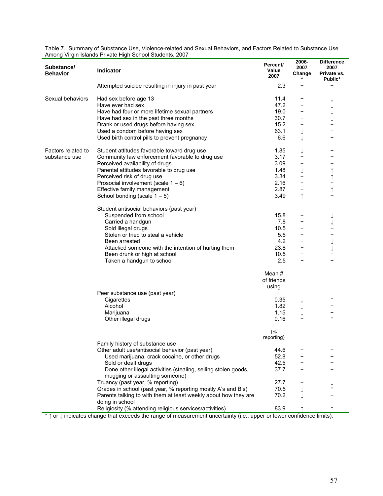| Substance/<br><b>Behavior</b>       | Indicator                                                                                                                                                                                                                                                                                                                                                                                                                                                                                                                                                                             | Percent/<br>Value<br>2007                                                                                         | 2006-<br>2007<br>Change<br>$\star$ | <b>Difference</b><br>2007<br>Private vs.<br>Public* |
|-------------------------------------|---------------------------------------------------------------------------------------------------------------------------------------------------------------------------------------------------------------------------------------------------------------------------------------------------------------------------------------------------------------------------------------------------------------------------------------------------------------------------------------------------------------------------------------------------------------------------------------|-------------------------------------------------------------------------------------------------------------------|------------------------------------|-----------------------------------------------------|
|                                     | Attempted suicide resulting in injury in past year                                                                                                                                                                                                                                                                                                                                                                                                                                                                                                                                    | 2.3                                                                                                               | -                                  |                                                     |
| Sexual behaviors                    | Had sex before age 13<br>Have ever had sex<br>Have had four or more lifetime sexual partners<br>Have had sex in the past three months<br>Drank or used drugs before having sex<br>Used a condom before having sex<br>Used birth control pills to prevent pregnancy                                                                                                                                                                                                                                                                                                                    | 11.4<br>47.2<br>19.0<br>30.7<br>15.2<br>63.1<br>6.6                                                               | ↓<br>↓                             |                                                     |
| Factors related to<br>substance use | Student attitudes favorable toward drug use<br>Community law enforcement favorable to drug use<br>Perceived availability of drugs<br>Parental attitudes favorable to drug use<br>Perceived risk of drug use<br>Prosocial involvement (scale $1 - 6$ )<br>Effective family management<br>School bonding (scale $1 - 5$ )<br>Student antisocial behaviors (past year)<br>Suspended from school<br>Carried a handgun<br>Sold illegal drugs<br>Stolen or tried to steal a vehicle<br>Been arrested<br>Attacked someone with the intention of hurting them<br>Been drunk or high at school | 1.85<br>3.17<br>3.09<br>1.48<br>3.34<br>2.16<br>2.87<br>3.49<br>15.8<br>7.8<br>10.5<br>5.5<br>4.2<br>23.8<br>10.5 | ↓<br>-<br>$\uparrow$               | $\uparrow$<br>$\uparrow$<br>$\uparrow$              |
|                                     | Taken a handgun to school<br>Peer substance use (past year)<br>Cigarettes<br>Alcohol<br>Marijuana<br>Other illegal drugs                                                                                                                                                                                                                                                                                                                                                                                                                                                              | 2.5<br>Mean $#$<br>of friends<br>using<br>0.35<br>1.82<br>1.15<br>0.16                                            |                                    | $\uparrow$                                          |
|                                     | Family history of substance use<br>Other adult use/antisocial behavior (past year)<br>Used marijuana, crack cocaine, or other drugs<br>Sold or dealt drugs<br>Done other illegal activities (stealing, selling stolen goods,<br>mugging or assaulting someone)<br>Truancy (past year, % reporting)<br>Grades in school (past year, % reporting mostly A's and B's)<br>Parents talking to with them at least weekly about how they are<br>doing in school<br>Religiosity (% attending religious services/activities)                                                                   | (%<br>reporting)<br>44.6<br>52.8<br>42.5<br>37.7<br>27.7<br>70.5<br>70.2<br>83.9                                  |                                    |                                                     |

Table 7. Summary of Substance Use, Violence-related and Sexual Behaviors, and Factors Related to Substance Use Among Virgin Islands Private High School Students, 2007

\* ↑ or ↓ indicates change that exceeds the range of measurement uncertainty (i.e., upper or lower confidence limits).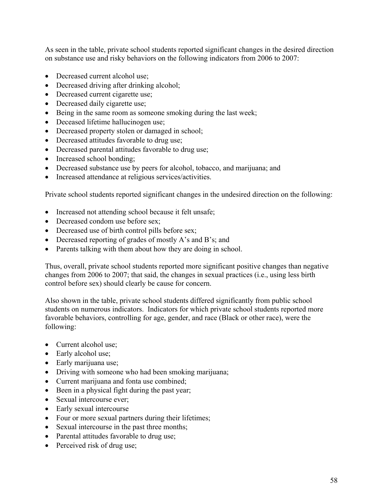As seen in the table, private school students reported significant changes in the desired direction on substance use and risky behaviors on the following indicators from 2006 to 2007:

- Decreased current alcohol use;
- Decreased driving after drinking alcohol;
- Decreased current cigarette use;
- Decreased daily cigarette use;
- Being in the same room as someone smoking during the last week;
- Deceased lifetime hallucinogen use;
- Decreased property stolen or damaged in school;
- Decreased attitudes favorable to drug use;
- Decreased parental attitudes favorable to drug use;
- Increased school bonding;
- Decreased substance use by peers for alcohol, tobacco, and marijuana; and
- Increased attendance at religious services/activities.

Private school students reported significant changes in the undesired direction on the following:

- Increased not attending school because it felt unsafe;
- Decreased condom use before sex;
- Decreased use of birth control pills before sex;
- Decreased reporting of grades of mostly A's and B's; and
- Parents talking with them about how they are doing in school.

Thus, overall, private school students reported more significant positive changes than negative changes from 2006 to 2007; that said, the changes in sexual practices (i.e., using less birth control before sex) should clearly be cause for concern.

Also shown in the table, private school students differed significantly from public school students on numerous indicators. Indicators for which private school students reported more favorable behaviors, controlling for age, gender, and race (Black or other race), were the following:

- Current alcohol use;
- Early alcohol use;
- Early marijuana use;
- Driving with someone who had been smoking marijuana;
- Current marijuana and fonta use combined;
- Been in a physical fight during the past year;
- Sexual intercourse ever;
- Early sexual intercourse
- Four or more sexual partners during their lifetimes;
- Sexual intercourse in the past three months;
- Parental attitudes favorable to drug use;
- Perceived risk of drug use;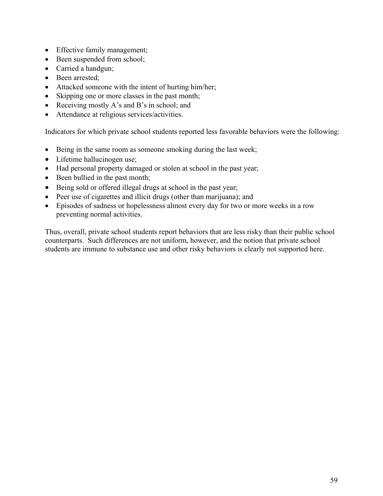- Effective family management;
- Been suspended from school;
- Carried a handgun;
- Been arrested:
- Attacked someone with the intent of hurting him/her;
- Skipping one or more classes in the past month;
- Receiving mostly A's and B's in school; and
- Attendance at religious services/activities.

Indicators for which private school students reported less favorable behaviors were the following:

- Being in the same room as someone smoking during the last week;
- Lifetime hallucinogen use;
- Had personal property damaged or stolen at school in the past year;
- Been bullied in the past month;
- Being sold or offered illegal drugs at school in the past year;
- Peer use of cigarettes and illicit drugs (other than marijuana); and
- Episodes of sadness or hopelessness almost every day for two or more weeks in a row preventing normal activities.

Thus, overall, private school students report behaviors that are less risky than their public school counterparts. Such differences are not uniform, however, and the notion that private school students are immune to substance use and other risky behaviors is clearly not supported here.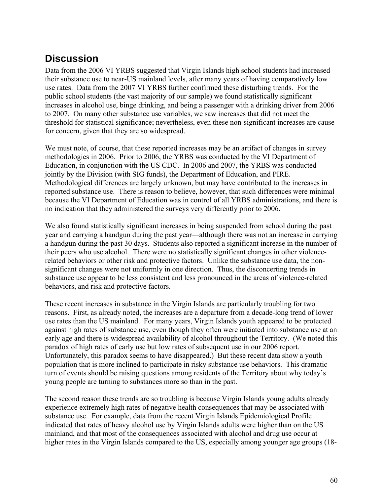# <span id="page-62-0"></span>**Discussion**

Data from the 2006 VI YRBS suggested that Virgin Islands high school students had increased their substance use to near-US mainland levels, after many years of having comparatively low use rates. Data from the 2007 VI YRBS further confirmed these disturbing trends. For the public school students (the vast majority of our sample) we found statistically significant increases in alcohol use, binge drinking, and being a passenger with a drinking driver from 2006 to 2007. On many other substance use variables, we saw increases that did not meet the threshold for statistical significance; nevertheless, even these non-significant increases are cause for concern, given that they are so widespread.

We must note, of course, that these reported increases may be an artifact of changes in survey methodologies in 2006. Prior to 2006, the YRBS was conducted by the VI Department of Education, in conjunction with the US CDC. In 2006 and 2007, the YRBS was conducted jointly by the Division (with SIG funds), the Department of Education, and PIRE. Methodological differences are largely unknown, but may have contributed to the increases in reported substance use. There is reason to believe, however, that such differences were minimal because the VI Department of Education was in control of all YRBS administrations, and there is no indication that they administered the surveys very differently prior to 2006.

We also found statistically significant increases in being suspended from school during the past year and carrying a handgun during the past year—although there was not an increase in carrying a handgun during the past 30 days. Students also reported a significant increase in the number of their peers who use alcohol. There were no statistically significant changes in other violencerelated behaviors or other risk and protective factors. Unlike the substance use data, the nonsignificant changes were not uniformly in one direction. Thus, the disconcerting trends in substance use appear to be less consistent and less pronounced in the areas of violence-related behaviors, and risk and protective factors.

These recent increases in substance in the Virgin Islands are particularly troubling for two reasons. First, as already noted, the increases are a departure from a decade-long trend of lower use rates than the US mainland. For many years, Virgin Islands youth appeared to be protected against high rates of substance use, even though they often were initiated into substance use at an early age and there is widespread availability of alcohol throughout the Territory. (We noted this paradox of high rates of early use but low rates of subsequent use in our 2006 report. Unfortunately, this paradox seems to have disappeared.) But these recent data show a youth population that is more inclined to participate in risky substance use behaviors. This dramatic turn of events should be raising questions among residents of the Territory about why today's young people are turning to substances more so than in the past.

The second reason these trends are so troubling is because Virgin Islands young adults already experience extremely high rates of negative health consequences that may be associated with substance use. For example, data from the recent Virgin Islands Epidemiological Profile indicated that rates of heavy alcohol use by Virgin Islands adults were higher than on the US mainland, and that most of the consequences associated with alcohol and drug use occur at higher rates in the Virgin Islands compared to the US, especially among younger age groups (18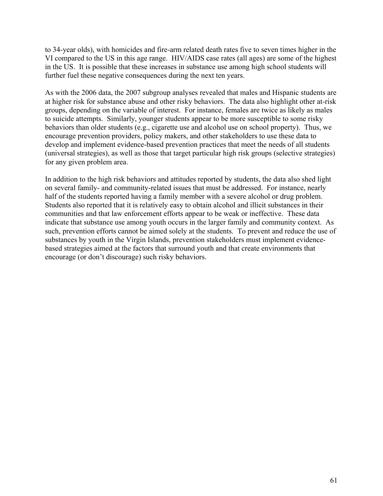to 34-year olds), with homicides and fire-arm related death rates five to seven times higher in the VI compared to the US in this age range. HIV/AIDS case rates (all ages) are some of the highest in the US. It is possible that these increases in substance use among high school students will further fuel these negative consequences during the next ten years.

As with the 2006 data, the 2007 subgroup analyses revealed that males and Hispanic students are at higher risk for substance abuse and other risky behaviors. The data also highlight other at-risk groups, depending on the variable of interest. For instance, females are twice as likely as males to suicide attempts. Similarly, younger students appear to be more susceptible to some risky behaviors than older students (e.g., cigarette use and alcohol use on school property). Thus, we encourage prevention providers, policy makers, and other stakeholders to use these data to develop and implement evidence-based prevention practices that meet the needs of all students (universal strategies), as well as those that target particular high risk groups (selective strategies) for any given problem area.

In addition to the high risk behaviors and attitudes reported by students, the data also shed light on several family- and community-related issues that must be addressed. For instance, nearly half of the students reported having a family member with a severe alcohol or drug problem. Students also reported that it is relatively easy to obtain alcohol and illicit substances in their communities and that law enforcement efforts appear to be weak or ineffective. These data indicate that substance use among youth occurs in the larger family and community context. As such, prevention efforts cannot be aimed solely at the students. To prevent and reduce the use of substances by youth in the Virgin Islands, prevention stakeholders must implement evidencebased strategies aimed at the factors that surround youth and that create environments that encourage (or don't discourage) such risky behaviors.